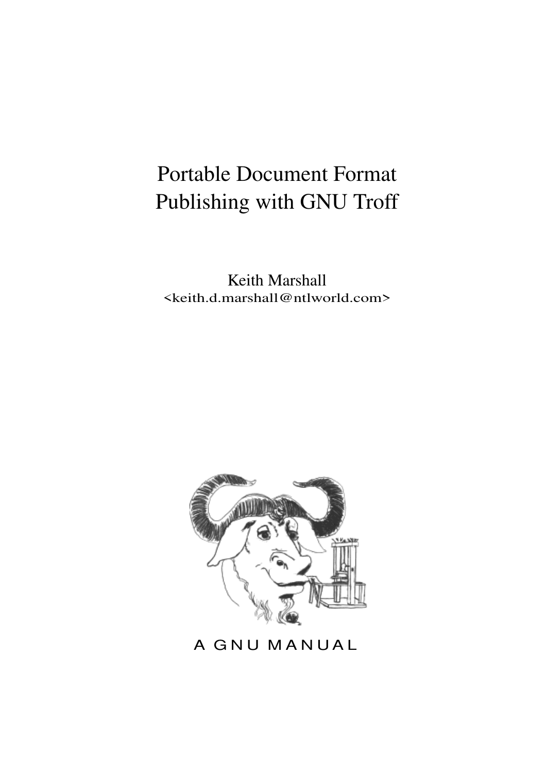# Portable Document Format Publishing with GNU Troff

Keith Marshall <keith.d.marshall@ntlworld.com>



A GNU MANUAL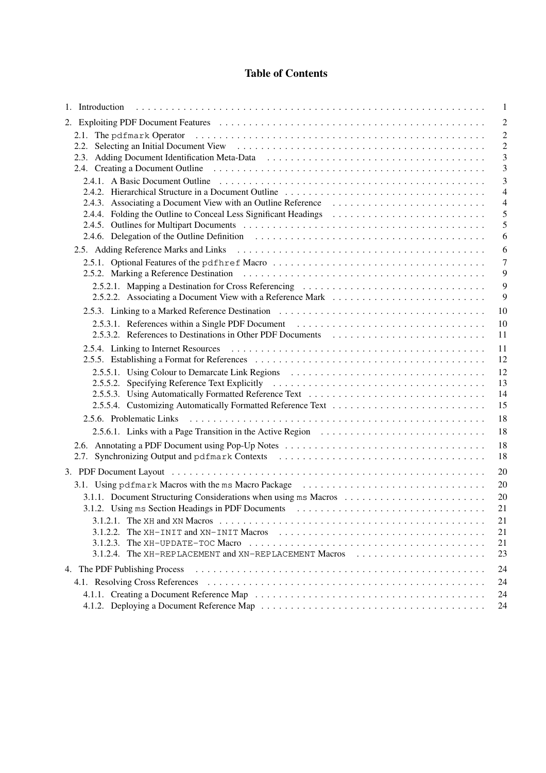## **Table of Contents**

|                                                                                                                                                   | $\mathbf{1}$        |
|---------------------------------------------------------------------------------------------------------------------------------------------------|---------------------|
|                                                                                                                                                   | $\overline{2}$      |
|                                                                                                                                                   | $\overline{2}$      |
|                                                                                                                                                   | $\overline{c}$      |
|                                                                                                                                                   | 3                   |
|                                                                                                                                                   | 3                   |
|                                                                                                                                                   | $\overline{3}$      |
|                                                                                                                                                   | $\overline{4}$      |
|                                                                                                                                                   | $\overline{4}$<br>5 |
|                                                                                                                                                   | 5                   |
|                                                                                                                                                   | 6                   |
|                                                                                                                                                   | 6                   |
|                                                                                                                                                   | $\overline{7}$      |
|                                                                                                                                                   | 9                   |
| 2.5.2.1. Mapping a Destination for Cross Referencing                                                                                              | 9                   |
| 2.5.2.2. Associating a Document View with a Reference Mark                                                                                        | 9                   |
| 10                                                                                                                                                |                     |
| 2.5.3.1. References within a Single PDF Document<br>10                                                                                            |                     |
| 2.5.3.2. References to Destinations in Other PDF Documents<br>11                                                                                  |                     |
| 11                                                                                                                                                |                     |
| 12                                                                                                                                                |                     |
| 12                                                                                                                                                |                     |
| 13                                                                                                                                                |                     |
| 2.5.5.3. Using Automatically Formatted Reference Text<br>14                                                                                       |                     |
| 15                                                                                                                                                |                     |
| 18                                                                                                                                                |                     |
| 18                                                                                                                                                |                     |
| 18                                                                                                                                                |                     |
| 2.7. Synchronizing Output and pdfmark Contexts<br>18                                                                                              |                     |
| 20                                                                                                                                                |                     |
| 3.1. Using pdf mark Macros with the ms Macro Package<br>20                                                                                        |                     |
| 3.1.1. Document Structuring Considerations when using ms Macros<br>20                                                                             |                     |
| 21                                                                                                                                                |                     |
| 3.1.2.1. The XH and XN Macros $\dots \dots \dots \dots \dots \dots \dots \dots \dots \dots \dots \dots \dots \dots \dots \dots \dots \dots$<br>21 |                     |
| 21<br>3.1.2.2.                                                                                                                                    |                     |
| 3.1.2.3. The XH-UPDATE-TOC Macro $\dots \dots \dots \dots \dots \dots \dots \dots \dots \dots \dots \dots \dots \dots \dots \dots \dots$<br>21    |                     |
| 3.1.2.4. The XH-REPLACEMENT and XN-REPLACEMENT Macros<br>23                                                                                       |                     |
| 24<br>4. The PDF Publishing Process                                                                                                               |                     |
| 24                                                                                                                                                |                     |
| 24                                                                                                                                                |                     |
| 24                                                                                                                                                |                     |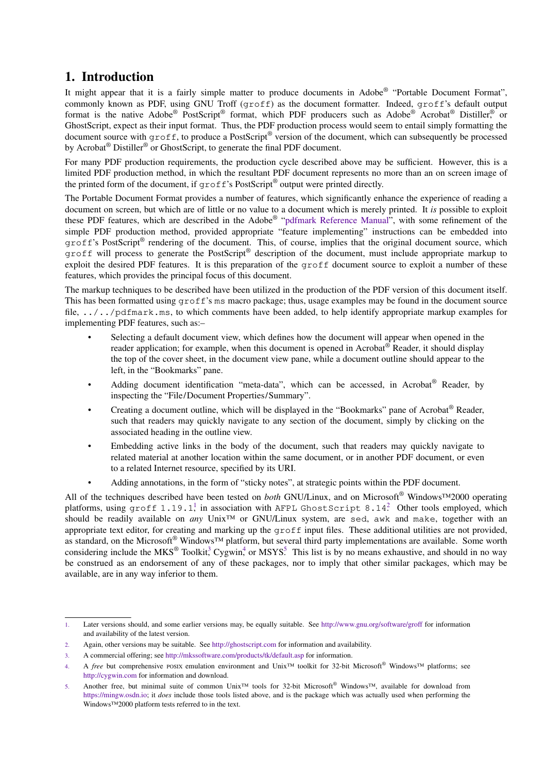## <span id="page-2-0"></span>**1. Introduction**

It might appear that it is a fairly simple matter to produce documents in Adobe® "Portable Document Format", commonly known as PDF, using GNU Troff (groff) as the document formatter. Indeed, groff's default output format is the native Adobe® PostScript® format, which PDF producers such as Adobe® Acrobat® Distiller,® or GhostScript, expect as their input format. Thus, the PDF production process would seem to entail simply formatting the document source with groff, to produce a PostScript® version of the document, which can subsequently be processed by Acrobat<sup>®</sup> Distiller<sup>®</sup> or GhostScript, to generate the final PDF document.

For many PDF production requirements, the production cycle described above may be sufficient. However, this is a limited PDF production method, in which the resultant PDF document represents no more than an on screen image of the printed form of the document, if  $\text{greff's PostScript}^{\circ}$  output were printed directly.

The Portable Document Format provides a number of features, which significantly enhance the experience of reading a document on screen, but which are of little or no value to a document which is merely printed. It *is* possible to exploit these PDF features, which are described in the Adobe® "[pdfmark Reference Manual"](https://www.adobe.com/go/acrobatsdk_pdfmark), with some refinement of the simple PDF production method, provided appropriate "feature implementing" instructions can be embedded into groff's PostScript® rendering of the document. This, of course, implies that the original document source, which groff will process to generate the PostScript® description of the document, must include appropriate markup to exploit the desired PDF features. It is this preparation of the groff document source to exploit a number of these features, which provides the principal focus of this document.

The markup techniques to be described have been utilized in the production of the PDF version of this document itself. This has been formatted using groff's ms macro package; thus, usage examples may be found in the document source file, ../../pdfmark.ms, to which comments have been added, to help identify appropriate markup examples for implementing PDF features, such as:–

- Selecting a default document view, which defines how the document will appear when opened in the reader application; for example, when this document is opened in Acrobat® Reader, it should display the top of the cover sheet, in the document view pane, while a document outline should appear to the left, in the "Bookmarks" pane.
- Adding document identification "meta-data", which can be accessed, in Acrobat® Reader, by inspecting the "File/Document Properties/Summary".
- Creating a document outline, which will be displayed in the "Bookmarks" pane of Acrobat® Reader, such that readers may quickly navigate to any section of the document, simply by clicking on the associated heading in the outline view.
- Embedding active links in the body of the document, such that readers may quickly navigate to related material at another location within the same document, or in another PDF document, or even to a related Internet resource, specified by its URI.
- Adding annotations, in the form of "sticky notes", at strategic points within the PDF document.

All of the techniques described have been tested on *both* GNU/Linux, and on Microsoft® Windows™2000 operating platforms, using  $\texttt{groff 1.19.1}$  in association with AFPL GhostScript 8.14. Other tools employed, which should be readily available on *any* Unix™ or GNU/Linux system, are sed, awk and make, together with an appropriate text editor, for creating and marking up the  $q_{\text{rot}}$  files. These additional utilities are not provided, as standard, on the Microsoft® Windows™ platform, but several third party implementations are available. Some worth considering include the MKS<sup>®</sup> Toolkit;<sup>3</sup> Cygwin,<sup>4</sup> or MSYS.<sup>5</sup> This list is by no means exhaustive, and should in no way be construed as an endorsement of any of these packages, nor to imply that other similar packages, which may be available, are in any way inferior to them.

<sup>1.</sup> Later versions should, and some earlier versions may, be equally suitable. See <http://www.gnu.org/software/groff> for information and availability of the latest version.

<sup>2.</sup> Again, other versions may be suitable. See <http://ghostscript.com> for information and availability.

<sup>3.</sup> A commercial offering; see <http://mkssoftware.com/products/tk/default.asp> for information.

<sup>4.</sup> A *free* but comprehensive POSIX emulation environment and Unix™ toolkit for 32-bit Microsoft® Windows™ platforms; see <http://cygwin.com> for information and download.

<sup>5.</sup> Another free, but minimal suite of common Unix™ tools for 32-bit Microsoft® Windows™, available for download from <https://mingw.osdn.io>; it *does* include those tools listed above, and is the package which was actually used when performing the Windows™2000 platform tests referred to in the text.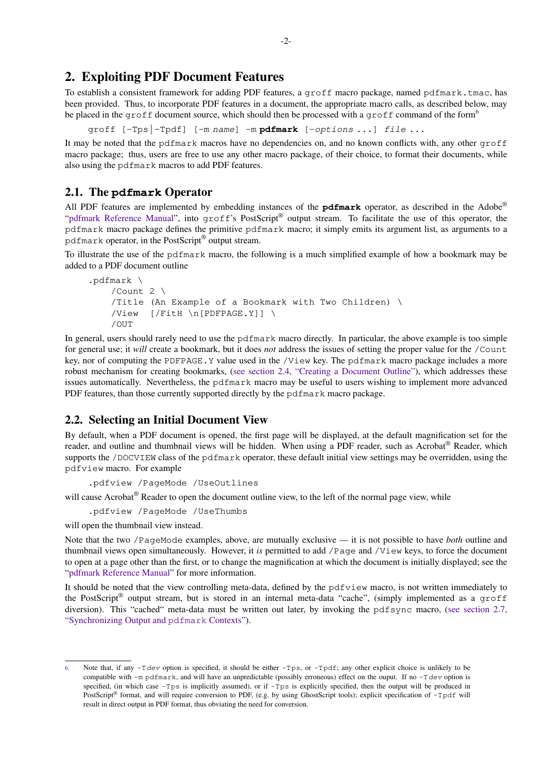## <span id="page-3-0"></span>**2. Exploiting PDF Document Features**

To establish a consistent framework for adding PDF features, a groff macro package, named pdfmark.tmac, has been provided. Thus, to incorporate PDF features in a document, the appropriate macro calls, as described below, may be placed in the groff document source, which should then be processed with a groff command of the form<sup>6</sup>

groff [-Tps|-Tpdf] [-m name] -m **pdfmark** [-options ...] file ...

It may be noted that the pdfmark macros have no dependencies on, and no known conflicts with, any other groff macro package; thus, users are free to use any other macro package, of their choice, to format their documents, while also using the pdfmark macros to add PDF features.

#### **2.1. The pdfmark Operator**

All PDF features are implemented by embedding instances of the **pdfmark** operator, as described in the Adobe® ["pdfmark Reference Manual](https://www.adobe.com/go/acrobatsdk_pdfmark)", into groff's PostScript® output stream. To facilitate the use of this operator, the pdfmark macro package defines the primitive pdfmark macro; it simply emits its argument list, as arguments to a pdfmark operator, in the PostScript® output stream.

To illustrate the use of the pdfmark macro, the following is a much simplified example of howabookmark may be added to a PDF document outline

```
.pdfmark \
   /Count 2 \
   /Title (An Example of a Bookmark with Two Children) \
   /View [/FitH \n[PDFPAGE.Y]] \
   /OUT
```
In general, users should rarely need to use the pdfmark macro directly. In particular, the above example is too simple for general use; it *will* create a bookmark, but it does *not* address the issues of setting the proper value for the /Count key, nor of computing the PDFPAGE.Y value used in the /View key. The pdfmark macro package includes a more robust mechanism for creating bookmarks, [\(see section 2.4, "Creating a Document Outline"](#page-4-0)), which addresses these issues automatically. Nevertheless, the pdfmark macro may be useful to users wishing to implement more advanced PDF features, than those currently supported directly by the pdfmark macro package.

## **2.2. Selecting an Initial Document View**

By default, when a PDF document is opened, the first page will be displayed, at the default magnification set for the reader, and outline and thumbnail views will be hidden. When using a PDF reader, such as Acrobat® Reader, which supports the /DOCVIEW class of the pdfmark operator, these default initial view settings may be overridden, using the pdfview macro. For example

```
.pdfview /PageMode /UseOutlines
```
will cause Acrobat<sup>®</sup> Reader to open the document outline view, to the left of the normal page view, while

.pdfview /PageMode /UseThumbs

will open the thumbnail view instead.

Note that the two /PageMode examples, above, are mutually exclusive — it is not possible to have *both* outline and thumbnail views open simultaneously. However, it *is* permitted to add /Page and /View keys, to force the document to open at a page other than the first, or to change the magnification at which the document is initially displayed; see the ["pdfmark Reference Manual](https://www.adobe.com/go/acrobatsdk_pdfmark)" for more information.

It should be noted that the view controlling meta-data, defined by the pdfview macro, is not written immediately to the PostScript<sup>®</sup> output stream, but is stored in an internal meta-data "cache", (simply implemented as a groff diversion). This "cached" meta-data must be written out later, by invoking the pdf sync macro, [\(see section 2.7,](#page-19-0) ["Synchronizing Output and](#page-19-0) pdfmark Contexts").

Note that, if any  $-\tau d$ ev option is specified, it should be either  $-\tau ps$ , or  $-\tau pdf$ ; any other explicit choice is unlikely to be compatible with -m pdfmark, and will have an unpredictable (possibly erroneous) effect on the ouput. If no -Tdev option is specified, (in which case  $-Tps$  is implicitly assumed), or if  $-Tps$  is explicitly specified, then the output will be produced in PostScript® format, and will require conversion to PDF, (e.g. by using GhostScript tools); explicit specification of -Tpdf will result in direct output in PDF format, thus obviating the need for conversion.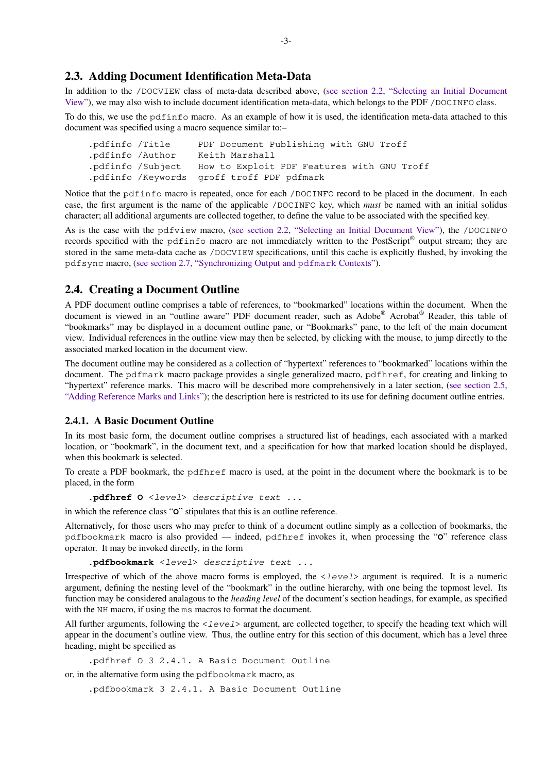## <span id="page-4-0"></span>**2.3. Adding Document Identification Meta-Data**

In addition to the /DOCVIEW class of meta-data described above, ([see section 2.2, "Selecting an Initial Document](#page-3-0) [View"](#page-3-0)), we may also wish to include document identification meta-data, which belongs to the PDF /DOCINFO class.

To do this, we use the pdfinfo macro. As an example of how it is used, the identification meta-data attached to this document was specified using a macro sequence similar to:–

.pdfinfo /Title PDF Document Publishing with GNU Troff .pdfinfo /Author Keith Marshall .pdfinfo /Subject How to Exploit PDF Features with GNU Troff .pdfinfo /Keywords groff troff PDF pdfmark

Notice that the pdfinfo macro is repeated, once for each /DOCINFO record to be placed in the document. In each case, the first argument is the name of the applicable /DOCINFO key, which *must* be named with an initial solidus character; all additional arguments are collected together, to define the value to be associated with the specified key.

As is the case with the pdfview macro, ([see section 2.2, "Selecting an Initial Document View"\)](#page-3-0), the /DOCINFO records specified with the pdfinfo macro are not immediately written to the PostScript® output stream; they are stored in the same meta-data cache as /DOCVIEW specifications, until this cache is explicitly flushed, by invoking the pdfsync macro, ([see section 2.7, "Synchronizing Output and](#page-19-0) pdfmark Contexts").

## **2.4. Creating a Document Outline**

A PDF document outline comprises a table of references, to "bookmarked" locations within the document. When the document is viewed in an "outline aware" PDF document reader, such as Adobe® Acrobat® Reader, this table of "bookmarks" may be displayed in a document outline pane, or "Bookmarks" pane, to the left of the main document view. Individual references in the outline view may then be selected, by clicking with the mouse, to jump directly to the associated marked location in the document view.

The document outline may be considered as a collection of "hypertext" references to "bookmarked" locations within the document. The pdfmark macro package provides a single generalized macro, pdfhref, for creating and linking to "hypertext" reference marks. This macro will be described more comprehensively in a later section, ([see section 2.5,](#page-7-0) ["Adding Reference Marks and Links"](#page-7-0)); the description here is restricted to its use for defining document outline entries.

#### **2.4.1. A Basic Document Outline**

In its most basic form, the document outline comprises a structured list of headings, each associated with a marked location, or "bookmark", in the document text, and a specification for how that marked location should be displayed, when this bookmark is selected.

To create a PDF bookmark, the pdfhref macro is used, at the point in the document where the bookmark is to be placed, in the form

**.pdfhref O** <level> descriptive text ...

in which the reference class "**O**" stipulates that this is an outline reference.

Alternatively, for those users who may prefer to think of a document outline simply as a collection of bookmarks, the pdfbookmark macro is also provided — indeed, pdfhref invokes it, when processing the "**O**" reference class operator. It may be invoked directly, in the form

**.pdfbookmark** <level> descriptive text ...

Irrespective of which of the above macro forms is employed, the <level> argument is required. It is a numeric argument, defining the nesting level of the "bookmark" in the outline hierarchy, with one being the topmost level. Its function may be considered analagous to the *heading level* of the document's section headings, for example, as specified with the NH macro, if using the ms macros to format the document.

All further arguments, following the  $\langle level \rangle$  argument, are collected together, to specify the heading text which will appear in the document's outline view. Thus, the outline entry for this section of this document, which has a level three heading, might be specified as

.pdfhref O 3 2.4.1. A Basic Document Outline

or, in the alternative form using the pdfbookmark macro, as

.pdfbookmark 3 2.4.1. A Basic Document Outline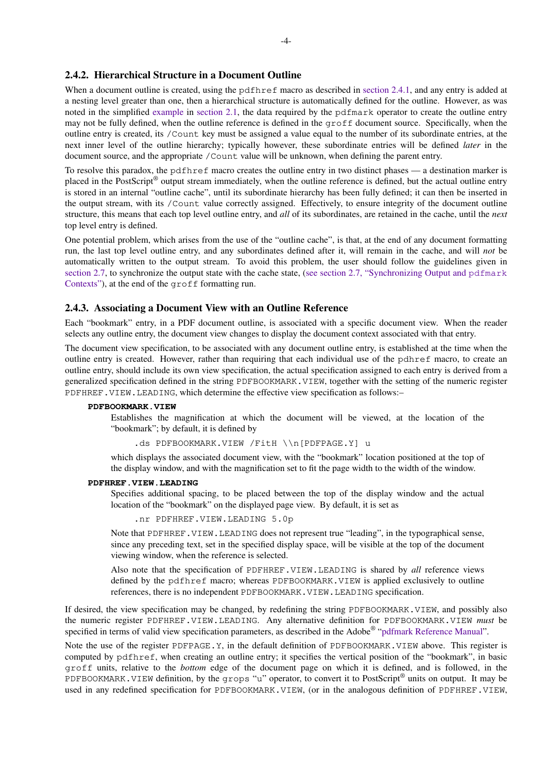### <span id="page-5-0"></span>**2.4.2. Hierarchical Structure in a Document Outline**

When a document outline is created, using the pdfhref macro as described in [section 2.4.1,](#page-4-0) and any entry is added at a nesting level greater than one, then a hierarchical structure is automatically defined for the outline. However, as was noted in the simplified [example](#page-3-0) in [section 2.1,](#page-3-0) the data required by the pdfmark operator to create the outline entry may not be fully defined, when the outline reference is defined in the groff document source. Specifically, when the outline entry is created, its /Count key must be assigned a value equal to the number of its subordinate entries, at the next inner level of the outline hierarchy; typically however, these subordinate entries will be defined *later* in the document source, and the appropriate /Count value will be unknown, when defining the parent entry.

To resolve this paradox, the pdfhref macro creates the outline entry in two distinct phases — a destination marker is placed in the PostScript® output stream immediately, when the outline reference is defined, but the actual outline entry is stored in an internal "outline cache", until its subordinate hierarchy has been fully defined; it can then be inserted in the output stream, with its /Count value correctly assigned. Effectively, to ensure integrity of the document outline structure, this means that each top level outline entry, and *all* of its subordinates, are retained in the cache, until the *next* top level entry is defined.

One potential problem, which arises from the use of the "outline cache", is that, at the end of any document formatting run, the last top level outline entry, and any subordinates defined after it, will remain in the cache, and will *not* be automatically written to the output stream. To avoid this problem, the user should follow the guidelines given in [section 2.7](#page-19-0), to synchronize the output state with the cache state, [\(see section 2.7, "Synchronizing Output and](#page-19-0) pdfmark [Contexts"\)](#page-19-0), at the end of the groff formatting run.

#### **2.4.3. Associating a Document View with an Outline Reference**

Each "bookmark" entry, in a PDF document outline, is associated with a specific document view. When the reader selects any outline entry, the document view changes to display the document context associated with that entry.

The document view specification, to be associated with any document outline entry, is established at the time when the outline entry is created. However, rather than requiring that each individual use of the pdhref macro, to create an outline entry, should include its own view specification, the actual specification assigned to each entry is derived from a generalized specification defined in the string PDFBOOKMARK.VIEW, together with the setting of the numeric register PDFHREF.VIEW.LEADING, which determine the effective view specification as follows:–

#### **PDFBOOKMARK.VIEW**

Establishes the magnification at which the document will be viewed, at the location of the "bookmark"; by default, it is defined by

.ds PDFBOOKMARK.VIEW /FitH \\n[PDFPAGE.Y] u

which displays the associated document view, with the "bookmark" location positioned at the top of the display window, and with the magnification set to fit the page width to the width of the window.

#### **PDFHREF.VIEW.LEADING**

Specifies additional spacing, to be placed between the top of the display window and the actual location of the "bookmark" on the displayed page view. By default, it is set as

.nr PDFHREF.VIEW.LEADING 5.0p

Note that PDFHREF.VIEW.LEADING does not represent true "leading", in the typographical sense, since any preceding text, set in the specified display space, will be visible at the top of the document viewing window, when the reference is selected.

Also note that the specification of PDFHREF.VIEW.LEADING is shared by *all* reference views defined by the pdfhref macro; whereas PDFBOOKMARK.VIEW is applied exclusively to outline references, there is no independent PDFBOOKMARK. VIEW. LEADING specification.

If desired, the view specification may be changed, by redefining the string PDFBOOKMARK.VIEW, and possibly also the numeric register PDFHREF.VIEW.LEADING. Any alternative definition for PDFBOOKMARK.VIEW *must* be specified in terms of valid view specification parameters, as described in the Adobe® ["pdfmark Reference Manual](https://www.adobe.com/go/acrobatsdk_pdfmark)".

Note the use of the register PDFPAGE.Y, in the default definition of PDFBOOKMARK.VIEW above. This register is computed by pdfhref, when creating an outline entry; it specifies the vertical position of the "bookmark", in basic groff units, relative to the *bottom* edge of the document page on which it is defined, and is followed, in the PDFBOOKMARK. VIEW definition, by the grops "u" operator, to convert it to PostScript® units on output. It may be used in any redefined specification for PDFBOOKMARK. VIEW, (or in the analogous definition of PDFHREF. VIEW,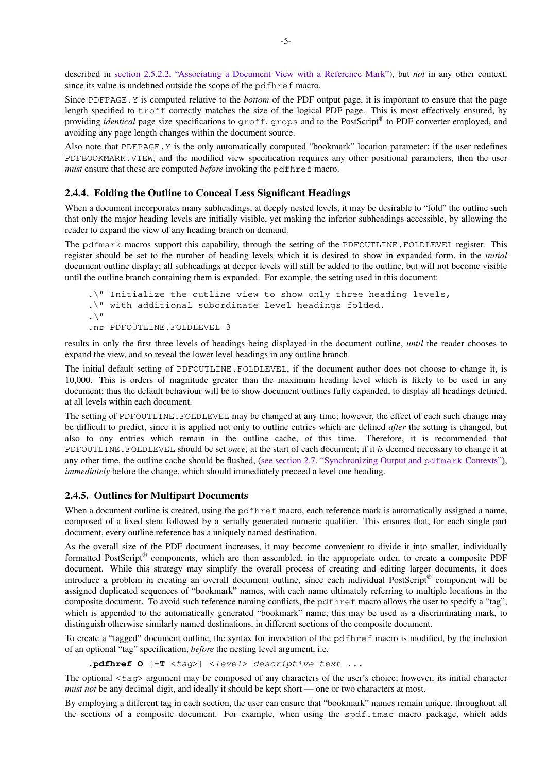<span id="page-6-0"></span>described in [section 2.5.2.2, "Associating a Document View with a Reference Mark"](#page-10-0)), but *not* in any other context, since its value is undefined outside the scope of the pdfhref macro.

Since PDFPAGE.Y is computed relative to the *bottom* of the PDF output page, it is important to ensure that the page length specified to troff correctly matches the size of the logical PDF page. This is most effectively ensured, by providing *identical* page size specifications to groff, grops and to the PostScript® to PDF converter employed, and avoiding any page length changes within the document source.

Also note that PDFPAGE.Y is the only automatically computed "bookmark" location parameter; if the user redefines PDFBOOKMARK.VIEW, and the modified view specification requires any other positional parameters, then the user *must* ensure that these are computed *before* invoking the pdfhref macro.

#### **2.4.4. Folding the Outline to Conceal Less Significant Headings**

When a document incorporates many subheadings, at deeply nested levels, it may be desirable to "fold" the outline such that only the major heading levels are initially visible, yet making the inferior subheadings accessible, by allowing the reader to expand the view of any heading branch on demand.

The pdfmark macros support this capability, through the setting of the PDFOUTLINE.FOLDLEVEL register. This register should be set to the number of heading levels which it is desired to show in expanded form, in the *initial* document outline display; all subheadings at deeper levels will still be added to the outline, but will not become visible until the outline branch containing them is expanded. For example, the setting used in this document:

```
.\" Initialize the outline view to show only three heading levels,
.\" with additional subordinate level headings folded.
\cdot \setminus"
.nr PDFOUTLINE.FOLDLEVEL 3
```
results in only the first three levels of headings being displayed in the document outline, *until* the reader chooses to expand the view, and so reveal the lower level headings in any outline branch.

The initial default setting of PDFOUTLINE.FOLDLEVEL, if the document author does not choose to change it, is 10,000. This is orders of magnitude greater than the maximum heading level which is likely to be used in any document; thus the default behaviour will be to show document outlines fully expanded, to display all headings defined, at all levels within each document.

The setting of PDFOUTLINE. FOLDLEVEL may be changed at any time; however, the effect of each such change may be difficult to predict, since it is applied not only to outline entries which are defined *after* the setting is changed, but also to any entries which remain in the outline cache, *at* this time. Therefore, it is recommended that PDFOUTLINE.FOLDLEVEL should be set *once*, at the start of each document; if it *is* deemed necessary to change it at any other time, the outline cache should be flushed, ([see section 2.7, "Synchronizing Output and](#page-19-0) pdfmark Contexts"), *immediately* before the change, which should immediately preceed a level one heading.

#### **2.4.5. Outlines for Multipart Documents**

When a document outline is created, using the pdfhref macro, each reference mark is automatically assigned a name, composed of a fixed stem followed by a serially generated numeric qualifier. This ensures that, for each single part document, every outline reference has a uniquely named destination.

As the overall size of the PDF document increases, it may become convenient to divide it into smaller, individually formatted PostScript® components, which are then assembled, in the appropriate order, to create a composite PDF document. While this strategy may simplify the overall process of creating and editing larger documents, it does introduce a problem in creating an overall document outline, since each individual PostScript® component will be assigned duplicated sequences of "bookmark" names, with each name ultimately referring to multiple locations in the composite document. To avoid such reference naming conflicts, the pdfhref macro allows the user to specify a "tag", which is appended to the automatically generated "bookmark" name; this may be used as a discriminating mark, to distinguish otherwise similarly named destinations, in different sections of the composite document.

To create a "tagged" document outline, the syntax for invocation of the pdfhref macro is modified, by the inclusion of an optional "tag" specification, *before* the nesting level argument, i.e.

**.pdfhref O** [**-T** <tag>] <level> descriptive text ...

The optional  $\langle \tau a q \rangle$  argument may be composed of any characters of the user's choice; however, its initial character *must not* be any decimal digit, and ideally it should be kept short — one or two characters at most.

By employing a different tag in each section, the user can ensure that "bookmark" names remain unique, throughout all the sections of a composite document. For example, when using the spdf.tmac macro package, which adds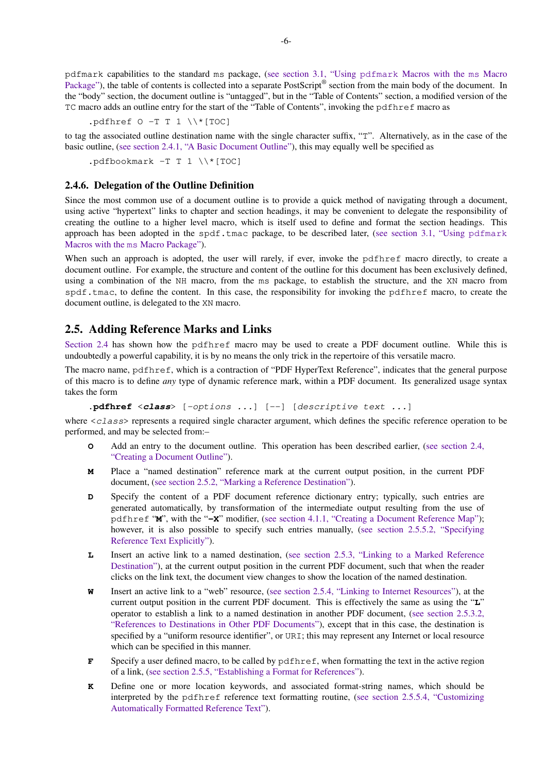<span id="page-7-0"></span>pdfmark capabilities to the standard ms package, [\(see section 3.1, "Using](#page-21-0) pdfmark Macros with the ms Macro [Package"](#page-21-0)), the table of contents is collected into a separate PostScript® section from the main body of the document. In the "body" section, the document outline is "untagged", but in the "Table of Contents" section, a modified version of the TC macro adds an outline entry for the start of the "Table of Contents", invoking the pdfhref macro as

```
.pdfhref 0 -T T 1 \ \N*[TOC]
```
to tag the associated outline destination name with the single character suffix, "T". Alternatively, as in the case of the basic outline, [\(see section 2.4.1, "A Basic Document Outline"\)](#page-4-0), this may equally well be specified as

```
.pdf pdfbookmark -T T 1 \setminus [TOC]
```
#### **2.4.6. Delegation of the Outline Definition**

Since the most common use of a document outline is to provide a quick method of navigating through a document, using active "hypertext" links to chapter and section headings, it may be convenient to delegate the responsibility of creating the outline to a higher level macro, which is itself used to define and format the section headings. This approach has been adopted in the spdf.tmac package, to be described later, ([see section 3.1, "Using](#page-21-0) pdfmark Macros with the ms [Macro Package"](#page-21-0)).

When such an approach is adopted, the user will rarely, if ever, invoke the pdfhref macro directly, to create a document outline. For example, the structure and content of the outline for this document has been exclusively defined, using a combination of the NH macro, from the ms package, to establish the structure, and the XN macro from spdf.tmac, to define the content. In this case, the responsibility for invoking the pdfhref macro, to create the document outline, is delegated to the XN macro.

#### **2.5. Adding Reference Marks and Links**

[Section 2.4](#page-4-0) has shown how the pdfhref macro may be used to create a PDF document outline. While this is undoubtedly a powerful capability, it is by no means the only trick in the repertoire of this versatile macro.

The macro name, pdfhref, which is a contraction of "PDF HyperText Reference", indicates that the general purpose of this macro is to define *any* type of dynamic reference mark, within a PDF document. Its generalized usage syntax takes the form

```
.pdfhref <class> [-options ...] [--] [descriptive text ...]
```
where  $\langle \text{class} \rangle$  represents a required single character argument, which defines the specific reference operation to be performed, and may be selected from:–

- **O** Add an entry to the document outline. This operation has been described earlier, [\(see section 2.4,](#page-4-0) ["Creating a Document Outline"\)](#page-4-0).
- **M** Place a "named destination" reference mark at the current output position, in the current PDF document, ([see section 2.5.2, "Marking a Reference Destination"\)](#page-10-0).
- **D** Specify the content of a PDF document reference dictionary entry; typically, such entries are generated automatically, by transformation of the intermediate output resulting from the use of pdfhref "**M**", with the "**-X**" modifier, ([see section 4.1.1, "Creating a Document Reference Map"\)](#page-25-0); however, it is also possible to specify such entries manually, [\(see section 2.5.5.2, "Specifying](#page-14-0) [Reference Text Explicitly"\)](#page-14-0).
- **L** Insert an active link to a named destination, ([see section 2.5.3, "Linking to a Marked Reference](#page-11-0) [Destination"](#page-11-0)), at the current output position in the current PDF document, such that when the reader clicks on the link text, the document view changes to show the location of the named destination.
- **W** Insert an active link to a "web" resource, ([see section 2.5.4, "Linking to Internet Resources"](#page-12-0)), at the current output position in the current PDF document. This is effectively the same as using the "**L**" operator to establish a link to a named destination in another PDF document, [\(see section 2.5.3.2,](#page-12-0) ["References to Destinations in Other PDF Documents"\)](#page-12-0), except that in this case, the destination is specified by a "uniform resource identifier", or URI; this may represent any Internet or local resource which can be specified in this manner.
- **F** Specify a user defined macro, to be called by pdfhref, when formatting the text in the active region of a link, ([see section 2.5.5, "Establishing a Format for References"](#page-13-0)).
- **K** Define one or more location keywords, and associated format-string names, which should be interpreted by the pdfhref reference text formatting routine, [\(see section 2.5.5.4, "Customizing](#page-16-0) [Automatically Formatted Reference Text"\)](#page-16-0).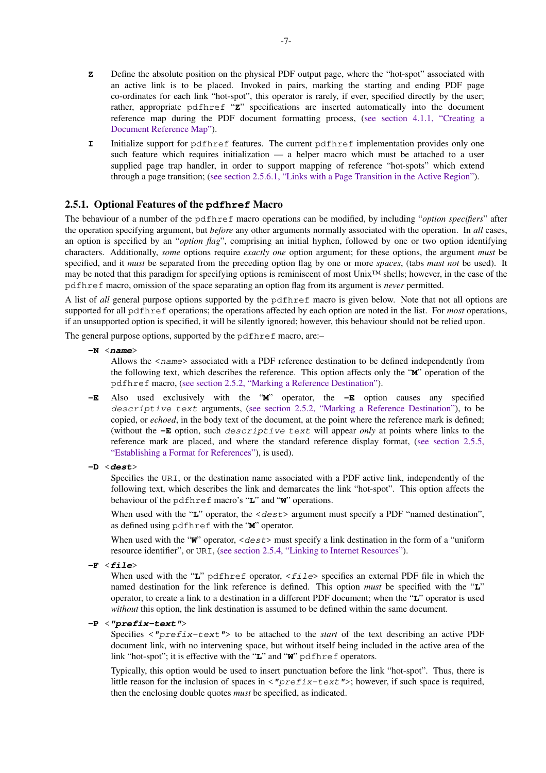- <span id="page-8-0"></span>**Z** Define the absolute position on the physical PDF output page, where the "hot-spot" associated with an active link is to be placed. Invoked in pairs, marking the starting and ending PDF page co-ordinates for each link "hot-spot", this operator is rarely, if ever, specified directly by the user; rather, appropriate pdfhref "**Z**" specifications are inserted automatically into the document reference map during the PDF document formatting process, [\(see section 4.1.1, "Creating a](#page-25-0) [Document Reference Map"\)](#page-25-0).
- **I** Initialize support for pdfhref features. The current pdfhref implementation provides only one such feature which requires initialization — a helper macro which must be attached to a user supplied page trap handler, in order to support mapping of reference "hot-spots" which extend through a page transition; [\(see section 2.5.6.1, "Links with a Page Transition in the Active Region"\)](#page-19-0).

## **2.5.1. Optional Features of the pdfhref Macro**

The behaviour of a number of the pdfhref macro operations can be modified, by including "*option specifiers*" after the operation specifying argument, but *before* any other arguments normally associated with the operation. In *all* cases, an option is specified by an "*option flag*", comprising an initial hyphen, followed by one or two option identifying characters. Additionally, *some* options require *exactly one* option argument; for these options, the argument *must* be specified, and it *must* be separated from the preceding option flag by one or more *spaces*, (tabs *must not* be used). It may be noted that this paradigm for specifying options is reminiscent of most Unix™ shells; however, in the case of the pdfhref macro, omission of the space separating an option flag from its argument is *never* permitted.

A list of *all* general purpose options supported by the pdfhref macro is given below. Note that not all options are supported for all pdfhref operations; the operations affected by each option are noted in the list. For *most* operations, if an unsupported option is specified, it will be silently ignored; however, this behaviour should not be relied upon.

The general purpose options, supported by the pdfhref macro, are:–

**-N** <**name**>

Allows the  $\langle$  name $\rangle$  associated with a PDF reference destination to be defined independently from the following text, which describes the reference. This option affects only the "**M**" operation of the pdfhref macro, ([see section 2.5.2, "Marking a Reference Destination"\)](#page-10-0).

- **-E** Also used exclusively with the "**M**" operator, the **-E** option causes any specified descriptive text arguments, [\(see section 2.5.2, "Marking a Reference Destination"\)](#page-10-0), to be copied, or *echoed*, in the body text of the document, at the point where the reference mark is defined; (without the **-E** option, such descriptive text will appear *only* at points where links to the reference mark are placed, and where the standard reference display format, ([see section 2.5.5,](#page-13-0) ["Establishing a Format for References"](#page-13-0)), is used).
- **-D** <**dest**>

Specifies the URI, or the destination name associated with a PDF active link, independently of the following text, which describes the link and demarcates the link "hot-spot". This option affects the behaviour of the pdfhref macro's "**L**" and "**W**" operations.

When used with the "L" operator, the <dest> argument must specify a PDF "named destination", as defined using pdfhref with the "**M**" operator.

When used with the " $\mathbf{W}$ " operator,  $\langle$  dest $\rangle$  must specify a link destination in the form of a "uniform" resource identifier", or URI, ([see section 2.5.4, "Linking to Internet Resources"](#page-12-0)).

**-F** <**file**>

When used with the "L" pdfhref operator, <*file*> specifies an external PDF file in which the named destination for the link reference is defined. This option *must* be specified with the "**L**" operator, to create a link to a destination in a different PDF document; when the "**L**" operator is used *without* this option, the link destination is assumed to be defined within the same document.

#### **-P** <**"prefix-text"**>

Specifies  $\langle$ "prefix-text"> to be attached to the *start* of the text describing an active PDF document link, with no intervening space, but without itself being included in the active area of the link "hot-spot"; it is effective with the "**L**" and "**W**" pdfhref operators.

Typically, this option would be used to insert punctuation before the link "hot-spot". Thus, there is little reason for the inclusion of spaces in  $\langle "prefix-text" \rangle$ ; however, if such space is required, then the enclosing double quotes *must* be specified, as indicated.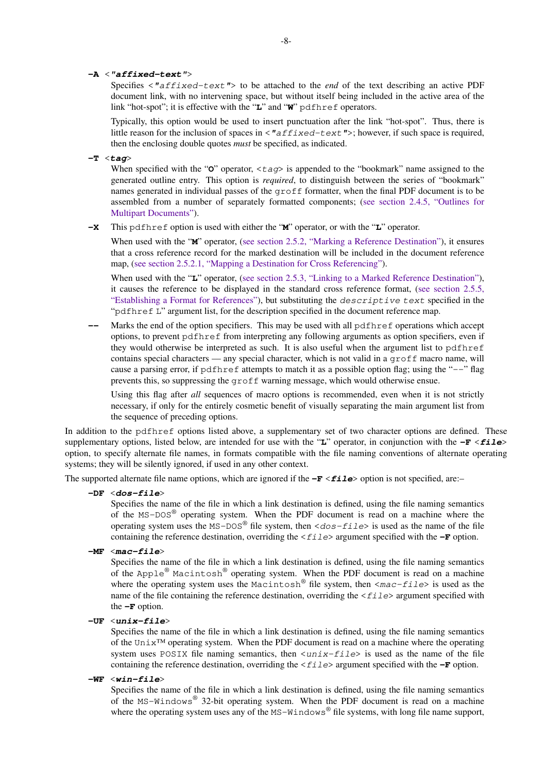#### **-A** <**"affixed-text"**>

Specifies  $\langle$ "affixed-text"> to be attached to the *end* of the text describing an active PDF document link, with no intervening space, but without itself being included in the active area of the link "hot-spot"; it is effective with the "**L**" and "**W**" pdfhref operators.

Typically, this option would be used to insert punctuation after the link "hot-spot". Thus, there is little reason for the inclusion of spaces in  $\langle "affixed-text" \rangle$ ; however, if such space is required, then the enclosing double quotes *must* be specified, as indicated.

**-T** <**tag**>

When specified with the " $\ddot{o}$ " operator,  $\langle \tau \rangle$  is appended to the "bookmark" name assigned to the generated outline entry. This option is *required*, to distinguish between the series of "bookmark" names generated in individual passes of the groff formatter, when the final PDF document is to be assembled from a number of separately formatted components; ([see section 2.4.5, "Outlines for](#page-6-0) [Multipart Documents"](#page-6-0)).

**-X** This pdfhref option is used with either the "**M**" operator, or with the "**L**" operator.

When used with the "**M**" operator, ([see section 2.5.2, "Marking a Reference Destination"](#page-10-0)), it ensures that a cross reference record for the marked destination will be included in the document reference map, [\(see section 2.5.2.1, "Mapping a Destination for Cross Referencing"](#page-10-0)).

When used with the "**L**" operator, [\(see section 2.5.3, "Linking to a Marked Reference Destination"\)](#page-11-0), it causes the reference to be displayed in the standard cross reference format, ([see section 2.5.5,](#page-13-0) ["Establishing a Format for References"\)](#page-13-0), but substituting the descriptive text specified in the "pdfhref L" argument list, for the description specified in the document reference map.

Marks the end of the option specifiers. This may be used with all pdfhref operations which accept options, to prevent pdfhref from interpreting any following arguments as option specifiers, even if they would otherwise be interpreted as such. It is also useful when the argument list to pdfhref contains special characters — any special character, which is not valid in a groff macro name, will cause a parsing error, if pdfhref attempts to match it as a possible option flag; using the "--" flag prevents this, so suppressing the groff warning message, which would otherwise ensue.

Using this flag after *all* sequences of macro options is recommended, even when it is not strictly necessary, if only for the entirely cosmetic benefit of visually separating the main argument list from the sequence of preceding options.

In addition to the pdfhref options listed above, a supplementary set of two character options are defined. These supplementary options, listed below, are intended for use with the "**L**" operator, in conjunction with the **-F** <**file**> option, to specify alternate file names, in formats compatible with the file naming conventions of alternate operating systems; they will be silently ignored, if used in any other context.

The supported alternate file name options, which are ignored if the **-F**  $\le$  **file**> option is not specified, are:–

**-DF** <**dos-file**>

Specifies the name of the file in which a link destination is defined, using the file naming semantics of the MS-DOS<sup>®</sup> operating system. When the PDF document is read on a machine where the operating system uses the MS-DOS<sup>®</sup> file system, then  $\langle$ dos-file> is used as the name of the file containing the reference destination, overriding the  $\langle$  file  $\rangle$  argument specified with the  $-\mathbf{F}$  option.

**-MF** <**mac-file**>

Specifies the name of the file in which a link destination is defined, using the file naming semantics of the Apple $^{\circledR}$  Macintosh $^{\circledR}$  operating system. When the PDF document is read on a machine where the operating system uses the Macintosh<sup>®</sup> file system, then  $\langle mac-file\rangle$  is used as the name of the file containing the reference destination, overriding the  $\langle \text{file}\rangle$  argument specified with the  $-F$  option.

**-UF** <**unix-file**>

Specifies the name of the file in which a link destination is defined, using the file naming semantics of the Unix™ operating system. When the PDF document is read on a machine where the operating system uses POSIX file naming semantics, then  $\langle unit \rangle$ -file is used as the name of the file containing the reference destination, overriding the  $\langle \text{file}\rangle$  argument specified with the  $-\mathbf{F}$  option.

**-WF** <**win-file**>

Specifies the name of the file in which a link destination is defined, using the file naming semantics of the MS-Windows<sup>®</sup> 32-bit operating system. When the PDF document is read on a machine where the operating system uses any of the MS-Windows<sup>®</sup> file systems, with long file name support,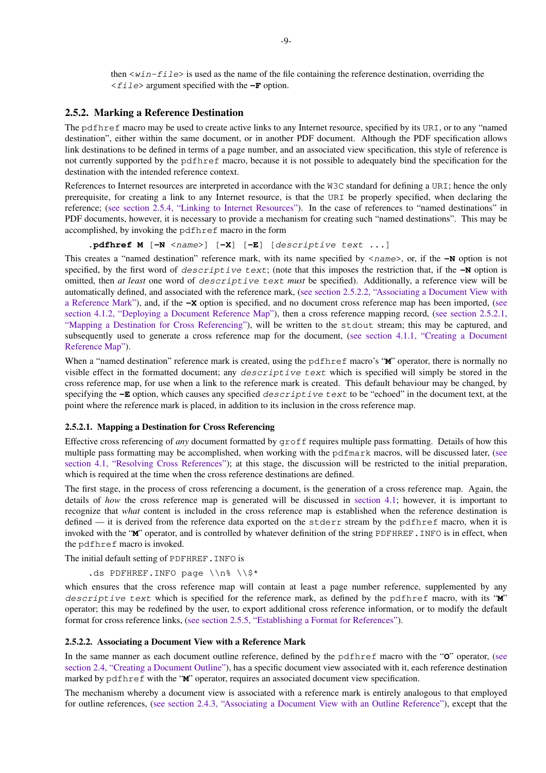then  $\langle \text{win-file} \rangle$  is used as the name of the file containing the reference destination, overriding the <file> argument specified with the **-F** option.

#### <span id="page-10-0"></span>**2.5.2. Marking a Reference Destination**

The pdfhref macro may be used to create active links to any Internet resource, specified by its URI, or to any "named destination", either within the same document, or in another PDF document. Although the PDF specification allows link destinations to be defined in terms of a page number, and an associated view specification, this style of reference is not currently supported by the pdfhref macro, because it is not possible to adequately bind the specification for the destination with the intended reference context.

References to Internet resources are interpreted in accordance with the W3C standard for defining a URI; hence the only prerequisite, for creating a link to any Internet resource, is that the URI be properly specified, when declaring the reference; ([see section 2.5.4, "Linking to Internet Resources"\)](#page-12-0). In the case of references to "named destinations" in PDF documents, however, it is necessary to provide a mechanism for creating such "named destinations". This may be accomplished, by invoking the pdfhref macro in the form

.pdfhref M  $[-N \quad \langle name \rangle]$   $[-X]$   $[-E]$  [descriptive text ...]

This creates a "named destination" reference mark, with its name specified by  $\langle$ name>, or, if the **-N** option is not specified, by the first word of *descriptive text*; (note that this imposes the restriction that, if the **-N** option is omitted, then *at least* one word of *descriptive text must* be specified). Additionally, a reference view will be automatically defined, and associated with the reference mark, (see section 2.5.2.2, "Associating a Document View with a Reference Mark"), and, if the **-X** option is specified, and no document cross reference map has been imported, ([see](#page-25-0) [section 4.1.2, "Deploying a Document Reference Map"\)](#page-25-0), then a cross reference mapping record, (see section 2.5.2.1, "Mapping a Destination for Cross Referencing"), will be written to the stdout stream; this may be captured, and subsequently used to generate a cross reference map for the document, ([see section 4.1.1, "Creating a Document](#page-25-0) [Reference Map"\)](#page-25-0).

When a "named destination" reference mark is created, using the pdfhref macro's "**M**" operator, there is normally no visible effect in the formatted document; any descriptive text which is specified will simply be stored in the cross reference map, for use when a link to the reference mark is created. This default behaviour may be changed, by specifying the **-E** option, which causes any specified descriptive text to be "echoed" in the document text, at the point where the reference mark is placed, in addition to its inclusion in the cross reference map.

#### **2.5.2.1. Mapping a Destination for Cross Referencing**

Effective cross referencing of *any* document formatted by groff requires multiple pass formatting. Details of how this multiple pass formatting may be accomplished, when working with the pdfmark macros, will be discussed later, ([see](#page-25-0) [section 4.1, "Resolving Cross References"\)](#page-25-0); at this stage, the discussion will be restricted to the initial preparation, which is required at the time when the cross reference destinations are defined.

The first stage, in the process of cross referencing a document, is the generation of a cross reference map. Again, the details of *how* the cross reference map is generated will be discussed in [section 4.1;](#page-25-0) however, it is important to recognize that *what* content is included in the cross reference map is established when the reference destination is defined — it is derived from the reference data exported on the stderr stream by the pdfhref macro, when it is invoked with the "**M**" operator, and is controlled by whatever definition of the string PDFHREF.INFO is in effect, when the pdfhref macro is invoked.

The initial default setting of PDFHREF.INFO is

.ds PDFHREF.INFO page  $\n\$ 

which ensures that the cross reference map will contain at least a page number reference, supplemented by any descriptive text which is specified for the reference mark, as defined by the pdfhref macro, with its "**M**" operator; this may be redefined by the user, to export additional cross reference information, or to modify the default format for cross reference links, ([see section 2.5.5, "Establishing a Format for References"](#page-13-0)).

#### **2.5.2.2. Associating a Document View with a Reference Mark**

In the same manner as each document outline reference, defined by the pdfhref macro with the "**O**" operator, ([see](#page-4-0) [section 2.4, "Creating a Document Outline"](#page-4-0)), has a specific document view associated with it, each reference destination marked by pdfhref with the "**M**" operator, requires an associated document view specification.

The mechanism whereby a document view is associated with a reference mark is entirely analogous to that employed for outline references, [\(see section 2.4.3, "Associating a Document View with an Outline Reference"\)](#page-5-0), except that the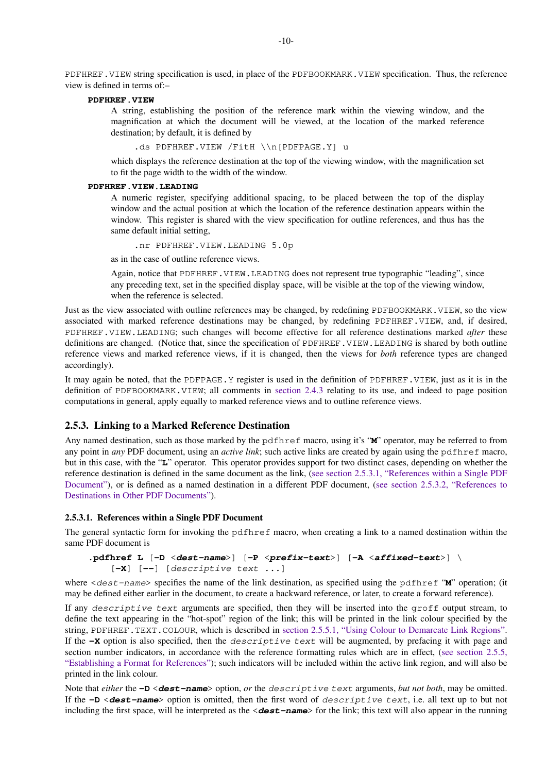<span id="page-11-0"></span>PDFHREF. VIEW string specification is used, in place of the PDFBOOKMARK. VIEW specification. Thus, the reference view is defined in terms of:–

#### **PDFHREF.VIEW**

A string, establishing the position of the reference mark within the viewing window, and the magnification at which the document will be viewed, at the location of the marked reference destination; by default, it is defined by

.ds PDFHREF.VIEW /FitH \\n[PDFPAGE.Y] u

which displays the reference destination at the top of the viewing window, with the magnification set to fit the page width to the width of the window.

#### **PDFHREF.VIEW.LEADING**

A numeric register, specifying additional spacing, to be placed between the top of the display window and the actual position at which the location of the reference destination appears within the window. This register is shared with the view specification for outline references, and thus has the same default initial setting,

.nr PDFHREF.VIEW.LEADING 5.0p

as in the case of outline reference views.

Again, notice that PDFHREF.VIEW.LEADING does not represent true typographic "leading", since any preceding text, set in the specified display space, will be visible at the top of the viewing window, when the reference is selected.

Just as the view associated with outline references may be changed, by redefining PDFBOOKMARK.VIEW, so the view associated with marked reference destinations may be changed, by redefining PDFHREF.VIEW, and, if desired, PDFHREF.VIEW.LEADING; such changes will become effective for all reference destinations marked *after* these definitions are changed. (Notice that, since the specification of PDFHREF.VIEW.LEADING is shared by both outline reference views and marked reference views, if it is changed, then the views for *both* reference types are changed accordingly).

It may again be noted, that the PDFPAGE.Y register is used in the definition of PDFHREF.VIEW, just as it is in the definition of PDFBOOKMARK.VIEW; all comments in [section 2.4.3](#page-5-0) relating to its use, and indeed to page position computations in general, apply equally to marked reference views and to outline reference views.

#### **2.5.3. Linking to a Marked Reference Destination**

Any named destination, such as those marked by the pdfhref macro, using it's "**M**" operator, may be referred to from any point in *any* PDF document, using an *active link*; such active links are created by again using the pdfhref macro, but in this case, with the "**L**" operator. This operator provides support for two distinct cases, depending on whether the reference destination is defined in the same document as the link, (see section 2.5.3.1, "References within a Single PDF Document"), or is defined as a named destination in a different PDF document, ([see section 2.5.3.2, "References to](#page-12-0) [Destinations in Other PDF Documents"\)](#page-12-0).

#### **2.5.3.1. References within a Single PDF Document**

The general syntactic form for invoking the pdfhref macro, when creating a link to a named destination within the same PDF document is

```
.pdfhref L [-D <dest-name>] [-P <prefix-text>] [-A <affixed-text>] \
   [-X] [--] [descriptive text ...]
```
where  $\langle$  dest-name> specifies the name of the link destination, as specified using the pdfhref "**M**" operation; (it may be defined either earlier in the document, to create a backward reference, or later, to create a forward reference).

If any descriptive text arguments are specified, then they will be inserted into the groff output stream, to define the text appearing in the "hot-spot" region of the link; this will be printed in the link colour specified by the string, PDFHREF.TEXT.COLOUR, which is described in [section 2.5.5.1, "Using Colour to Demarcate Link Regions"](#page-13-0). If the **-X** option is also specified, then the descriptive text will be augmented, by prefacing it with page and section number indicators, in accordance with the reference formatting rules which are in effect, [\(see section 2.5.5,](#page-13-0) ["Establishing a Format for References"\)](#page-13-0); such indicators will be included within the active link region, and will also be printed in the link colour.

Note that *either* the **-D** <**dest-name**> option, *or* the descriptive text arguments, *but not both*, may be omitted. If the **-D** <**dest-name**> option is omitted, then the first word of descriptive text, i.e. all text up to but not including the first space, will be interpreted as the <**dest-name**> for the link; this text will also appear in the running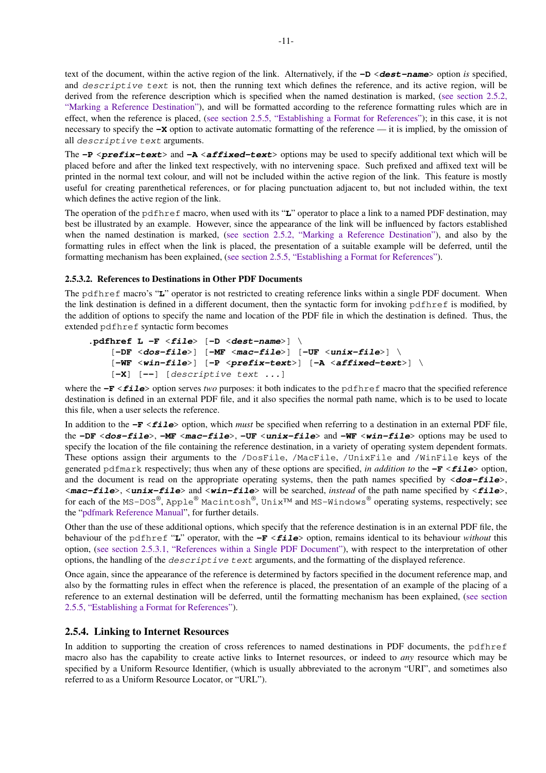<span id="page-12-0"></span>text of the document, within the active region of the link. Alternatively, if the **-D** <**dest-name**> option *is* specified, and descriptive text is not, then the running text which defines the reference, and its active region, will be derived from the reference description which is specified when the named destination is marked, [\(see section 2.5.2,](#page-10-0) ["Marking a Reference Destination"\)](#page-10-0), and will be formatted according to the reference formatting rules which are in effect, when the reference is placed, [\(see section 2.5.5, "Establishing a Format for References"\)](#page-13-0); in this case, it is not necessary to specify the **-X** option to activate automatic formatting of the reference — it is implied, by the omission of all descriptive text arguments.

The **-P** <**prefix-text**> and **-A** <**affixed-text**> options may be used to specify additional text which will be placed before and after the linked text respectively, with no intervening space. Such prefixed and affixed text will be printed in the normal text colour, and will not be included within the active region of the link. This feature is mostly useful for creating parenthetical references, or for placing punctuation adjacent to, but not included within, the text which defines the active region of the link.

The operation of the pdfhref macro, when used with its "**L**" operator to place a link to a named PDF destination, may best be illustrated by an example. However, since the appearance of the link will be influenced by factors established when the named destination is marked, [\(see section 2.5.2, "Marking a Reference Destination"\)](#page-10-0), and also by the formatting rules in effect when the link is placed, the presentation of a suitable example will be deferred, until the formatting mechanism has been explained, ([see section 2.5.5, "Establishing a Format for References"\)](#page-13-0).

#### **2.5.3.2. References to Destinations in Other PDF Documents**

The pdfhref macro's "**L**" operator is not restricted to creating reference links within a single PDF document. When the link destination is defined in a different document, then the syntactic form for invoking pdfhref is modified, by the addition of options to specify the name and location of the PDF file in which the destination is defined. Thus, the extended pdfhref syntactic form becomes

```
.pdfhref L -F <file> [-D <dest-name>] \
   [-DF <dos-file>] [-MF <mac-file>] [-UF <unix-file>] \
   [-WF <win-file>] [-P <prefix-text>] [-A <affixed-text>] \
   [-X] [--] [descriptive text ...]
```
where the **-F**  $\le$  **file**> option serves *two* purposes: it both indicates to the pdfhref macro that the specified reference destination is defined in an external PDF file, and it also specifies the normal path name, which is to be used to locate this file, when a user selects the reference.

In addition to the **-F** <**file**> option, which *must* be specified when referring to a destination in an external PDF file, the **-DF** <**dos-file**>, **-MF** <**mac-file**>, **-UF** <**unix-file**> and **-WF** <**win-file**> options may be used to specify the location of the file containing the reference destination, in a variety of operating system dependent formats. These options assign their arguments to the /DosFile, /MacFile, /UnixFile and /WinFile keys of the generated pdfmark respectively; thus when any of these options are specified, *in addition to* the **-F** <**file**> option, and the document is read on the appropriate operating systems, then the path names specified by  $\langle$ **dos-file** $\rangle$ , <**mac-file**>, <**unix-file**> and <**win-file**> will be searched, *instead* of the path name specified by <**file**>, for each of the MS-DOS®, Apple® Macintosh®, Unix™ and MS-Windows® operating systems, respectively; see the ["pdfmark Reference Manual"](https://www.adobe.com/go/acrobatsdk_pdfmark), for further details.

Other than the use of these additional options, which specify that the reference destination is in an external PDF file, the behaviour of the pdfhref "**L**" operator, with the **-F** <**file**> option, remains identical to its behaviour *without* this option, ([see section 2.5.3.1, "References within a Single PDF Document"\)](#page-11-0), with respect to the interpretation of other options, the handling of the descriptive text arguments, and the formatting of the displayed reference.

Once again, since the appearance of the reference is determined by factors specified in the document reference map, and also by the formatting rules in effect when the reference is placed, the presentation of an example of the placing of a reference to an external destination will be deferred, until the formatting mechanism has been explained, [\(see section](#page-13-0) [2.5.5, "Establishing a Format for References"](#page-13-0)).

#### **2.5.4. Linking to Internet Resources**

In addition to supporting the creation of cross references to named destinations in PDF documents, the pdfhref macro also has the capability to create active links to Internet resources, or indeed to *any* resource which may be specified by a Uniform Resource Identifier, (which is usually abbreviated to the acronym "URI", and sometimes also referred to as a Uniform Resource Locator, or "URL").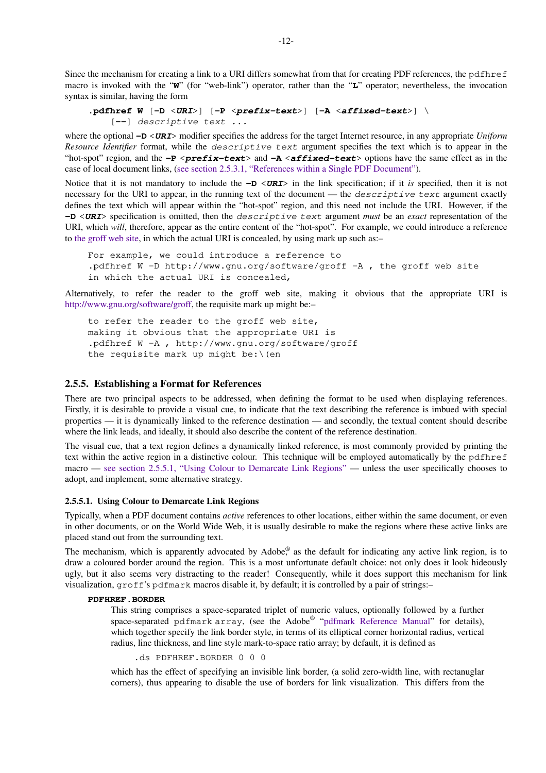<span id="page-13-0"></span>Since the mechanism for creating a link to a URI differs somewhat from that for creating PDF references, the pdfhref macro is invoked with the "**W**" (for "web-link") operator, rather than the "**L**" operator; nevertheless, the invocation syntax is similar, having the form

```
.pdfhref W [-D <URI>] [-P <prefix-text>] [-A <affixed-text>] \
   [--] descriptive text ...
```
where the optional **-D** <**URI**> modifier specifies the address for the target Internet resource, in any appropriate *Uniform Resource Identifier* format, while the descriptive text argument specifies the text which is to appear in the "hot-spot" region, and the **-P** <**prefix-text**> and **-A** <**affixed-text**> options have the same effect as in the case of local document links, [\(see section 2.5.3.1, "References within a Single PDF Document"](#page-11-0)).

Notice that it is not mandatory to include the  $-\mathbf{D} \langle \mathbf{URI} \rangle$  in the link specification; if it *is* specified, then it is not necessary for the URI to appear, in the running text of the document — the *descriptive text* argument exactly defines the text which will appear within the "hot-spot" region, and this need not include the URI. However, if the **-D** <**URI**> specification is omitted, then the descriptive text argument *must* be an *exact* representation of the URI, which *will*, therefore, appear as the entire content of the "hot-spot". For example, we could introduce a reference to [the groff web site](http://www.gnu.org/software/groff), in which the actual URI is concealed, by using mark up such as:–

```
For example, we could introduce a reference to
.pdfhref W -D http://www.gnu.org/software/groff -A , the groff web site
in which the actual URI is concealed,
```
Alternatively, to refer the reader to the groff web site, making it obvious that the appropriate URI is [http://www.gnu.org/software/groff,](http://www.gnu.org/software/groff) the requisite mark up might be:–

```
to refer the reader to the groff web site,
making it obvious that the appropriate URI is
.pdfhref W -A , http://www.gnu.org/software/groff
the requisite mark up might be: \setminus (en
```
#### **2.5.5. Establishing a Format for References**

There are two principal aspects to be addressed, when defining the format to be used when displaying references. Firstly, it is desirable to provide a visual cue, to indicate that the text describing the reference is imbued with special properties — it is dynamically linked to the reference destination — and secondly, the textual content should describe where the link leads, and ideally, it should also describe the content of the reference destination.

The visual cue, that a text region defines a dynamically linked reference, is most commonly provided by printing the text within the active region in a distinctive colour. This technique will be employed automatically by the pdfhref macro — see section 2.5.5.1, "Using Colour to Demarcate Link Regions" — unless the user specifically chooses to adopt, and implement, some alternative strategy.

#### **2.5.5.1. Using Colour to Demarcate Link Regions**

Typically, when a PDF document contains *active* references to other locations, either within the same document, or even in other documents, or on the World Wide Web, it is usually desirable to make the regions where these active links are placed stand out from the surrounding text.

The mechanism, which is apparently advocated by Adobe,<sup>®</sup> as the default for indicating any active link region, is to draw a coloured border around the region. This is a most unfortunate default choice: not only does it look hideously ugly, but it also seems very distracting to the reader! Consequently, while it does support this mechanism for link visualization, groff's pdfmark macros disable it, by default; it is controlled by a pair of strings:–

#### **PDFHREF.BORDER**

This string comprises a space-separated triplet of numeric values, optionally followed by a further space-separated pdfmark array, (see the Adobe® ["pdfmark Reference Manual"](https://www.adobe.com/go/acrobatsdk_pdfmark) for details), which together specify the link border style, in terms of its elliptical corner horizontal radius, vertical radius, line thickness, and line style mark-to-space ratio array; by default, it is defined as

.ds PDFHREF.BORDER 0 0 0

which has the effect of specifying an invisible link border, (a solid zero-width line, with rectanuglar corners), thus appearing to disable the use of borders for link visualization. This differs from the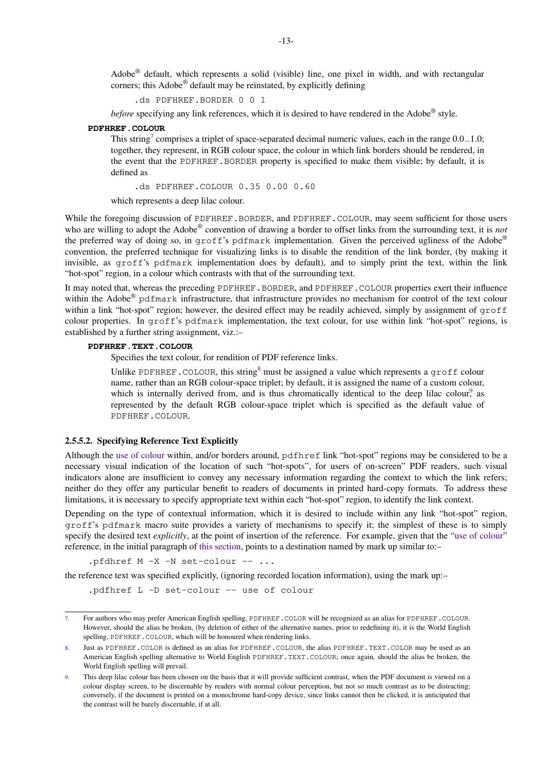<span id="page-14-0"></span>Adobe<sup>®</sup> default, which represents a solid (visible) line, one pixel in width, and with rectangular corners; this Adobe® default may be reinstated, by explicitly defining

.ds PDFHREF.BORDER 0 0 1

before specifying any link references, which it is desired to have rendered in the Adobe® style.

#### **PDFHREF.COLOUR**

This string<sup>7</sup> comprises a triplet of space-separated decimal numeric values, each in the range  $0.0...1.0$ ; together, they represent, in RGB colour space, the colour in which link borders should be rendered, in the event that the PDFHREF.BORDER property is specified to make them visible; by default, it is defined as

.ds PDFHREF.COLOUR 0.35 0.00 0.60

which represents a deep lilac colour.

While the foregoing discussion of PDFHREF.BORDER, and PDFHREF.COLOUR, may seem sufficient for those users who are willing to adopt the Adobe® convention of drawing a border to offset links from the surrounding text, it is *not* the preferred way of doing so, in groff's pdfmark implementation. Given the perceived ugliness of the Adobe® convention, the preferred technique for visualizing links is to disable the rendition of the link border, (by making it invisible, as groff's pdfmark implementation does by default), and to simply print the text, within the link "hot-spot" region, in a colour which contrasts with that of the surrounding text.

It may noted that, whereas the preceding PDFHREF.BORDER, and PDFHREF.COLOUR properties exert their influence within the Adobe® pdfmark infrastructure, that infrastructure provides no mechanism for control of the text colour within a link "hot-spot" region; however, the desired effect may be readily achieved, simply by assignment of groff colour properties. In groff's pdfmark implementation, the text colour, for use within link "hot-spot" regions, is established by a further string assignment, viz.:–

#### **PDFHREF.TEXT.COLOUR**

Specifies the text colour, for rendition of PDF reference links.

Unlike PDFHREF.COLOUR, this string<sup>8</sup> must be assigned a value which represents a groff colour name, rather than an RGB colour-space triplet; by default, it is assigned the name of a custom colour, which is internally derived from, and is thus chromatically identical to the deep lilac colour, as represented by the default RGB colour-space triplet which is specified as the default value of PDFHREF.COLOUR.

#### **2.5.5.2. Specifying Reference Text Explicitly**

Although the [use of colour](#page-13-0) within, and/or borders around, pdfhref link "hot-spot" regions may be considered to be a necessary visual indication of the location of such "hot-spots", for users of on-screen" PDF readers, such visual indicators alone are insufficient to convey any necessary information regarding the context to which the link refers; neither do they offer any particular benefit to readers of documents in printed hard-copy formats. To address these limitations, it is necessary to specify appropriate text within each "hot-spot" region, to identify the link context.

Depending on the type of contextual information, which it is desired to include within any link "hot-spot" region, groff's pdfmark macro suite provides a variety of mechanisms to specify it; the simplest of these is to simply specify the desired text *explicitly*, at the point of insertion of the reference. For example, given that the ["use of colour](#page-13-0)" reference, in the initial paragraph of this section, points to a destination named by mark up similar to:–

.pfdhref M -X -N set-colour -- ...

the reference text was specified explicitly, (ignoring recorded location information), using the mark up:–

.pdfhref L -D set-colour -- use of colour

<sup>7.</sup> For authors who may prefer American English spelling, PDFHREF.COLOR will be recognized as an alias for PDFHREF.COLOUR. However, should the alias be broken, (by deletion of either of the alternative names, prior to redefining it), it is the World English spelling, PDFHREF.COLOUR, which will be honoured when rendering links.

Just as PDFHREF.COLOR is defined as an alias for PDFHREF.COLOUR, the alias PDFHREF.TEXT.COLOR may be used as an American English spelling alternative to World English PDFHREF.TEXT.COLOUR; once again, should the alias be broken, the World English spelling will prevail.

This deep lilac colour has been chosen on the basis that it will provide sufficient contrast, when the PDF document is viewed on a colour display screen, to be discernable by readers with normal colour perception, but not so much contrast as to be distracting; conversely, if the document is printed on a monochrome hard-copy device, since links cannot then be clicked, it is anticipated that the contrast will be barely discernable, if at all.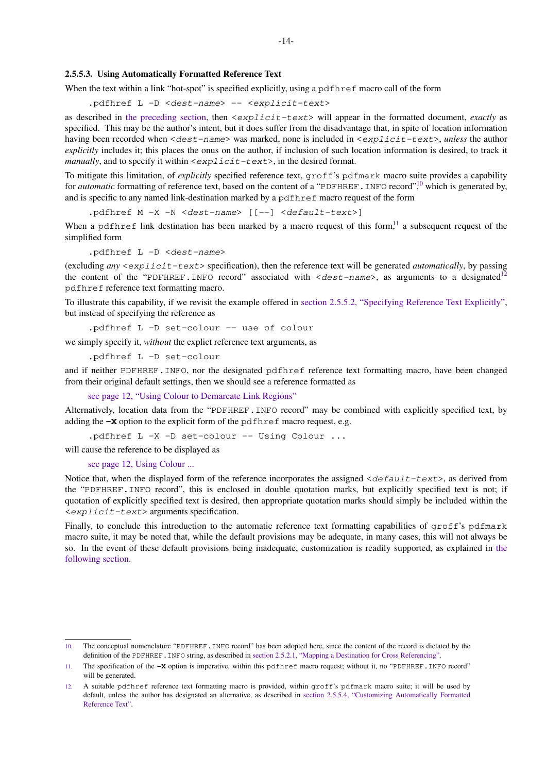#### <span id="page-15-0"></span>**2.5.5.3. Using Automatically Formatted Reference Text**

When the text within a link "hot-spot" is specified explicitly, using a pdf h reference call of the form

.pdfhref L -D <dest-name> -- <explicit-text>

as described in [the preceding section,](#page-14-0) then <explicit-text> will appear in the formatted document, *exactly* as specified. This may be the author's intent, but it does suffer from the disadvantage that, in spite of location information having been recorded when <dest-name> was marked, none is included in <explicit-text>, *unless* the author *explicitly* includes it; this places the onus on the author, if inclusion of such location information is desired, to track it *manually*, and to specify it within  $\langle \exp\text{list}-\text{text}\rangle$ , in the desired format.

To mitigate this limitation, of *explicitly* specified reference text, groff's pdfmark macro suite provides a capability for *automatic* formatting of reference text, based on the content of a "PDFHREF. INFO record",<sup>10</sup> which is generated by, and is specific to any named link-destination marked by a pdfhref macro request of the form

.pdfhref M -X -N <dest-name> [[--] <default-text>]

When a pdfhref link destination has been marked by a macro request of this form,<sup>11</sup> a subsequent request of the simplified form

.pdfhref L -D <dest-name>

(excluding *any* <explicit-text> specification), then the reference text will be generated *automatically*, by passing the content of the "PDFHREF.INFO record" associated with  $\langle dest - name \rangle$ , as arguments to a designated<sup>12</sup> pdfhref reference text formatting macro.

To illustrate this capability, if we revisit the example offered in [section 2.5.5.2, "Specifying Reference Text Explicitly"](#page-14-0), but instead of specifying the reference as

.pdfhref L -D set-colour -- use of colour

we simply specify it, *without* the explict reference text arguments, as

.pdfhref L -D set-colour

and if neither PDFHREF.INFO, nor the designated pdfhref reference text formatting macro, have been changed from their original default settings, then we should see a reference formatted as

[see page 12, "Using Colour to Demarcate Link Regions"](#page-13-0)

Alternatively, location data from the "PDFHREF.INFO record" may be combined with explicitly specified text, by adding the **-X** option to the explicit form of the pdfhref macro request, e.g.

.pdfhref L -X -D set-colour -- Using Colour ...

will cause the reference to be displayed as

[see page 12, Using Colour ...](#page-13-0)

Notice that, when the displayed form of the reference incorporates the assigned  $\langle$ default-text>, as derived from the "PDFHREF.INFO record", this is enclosed in double quotation marks, but explicitly specified text is not; if quotation of explicitly specified text is desired, then appropriate quotation marks should simply be included within the <explicit-text> arguments specification.

Finally, to conclude this introduction to the automatic reference text formatting capabilities of groff's pdfmark macro suite, it may be noted that, while the default provisions may be adequate, in many cases, this will not always be so. In the event of these default provisions being inadequate, customization is readily supported, as explained in [the](#page-16-0) [following section](#page-16-0).

<sup>10.</sup> The conceptual nomenclature "PDFHREF.INFO record" has been adopted here, since the content of the record is dictated by the definition of the PDFHREF. INFO string, as described in [section 2.5.2.1, "Mapping a Destination for Cross Referencing"](#page-10-0).

<sup>11.</sup> The specification of the **-X** option is imperative, within this pdfhref macro request; without it, no "PDFHREF.INFO record" will be generated.

<sup>12.</sup> A suitable pdfhref reference text formatting macro is provided, within groff's pdfmark macro suite; it will be used by default, unless the author has designated an alternative, as described in [section 2.5.5.4, "Customizing Automatically Formatted](#page-16-0) [Reference Text".](#page-16-0)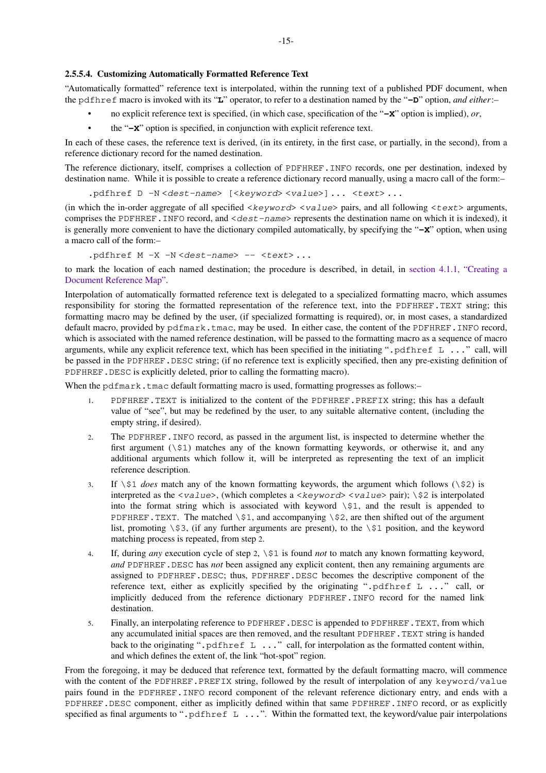#### <span id="page-16-0"></span>**2.5.5.4. Customizing Automatically Formatted Reference Text**

"Automatically formatted" reference text is interpolated, within the running text of a published PDF document, when the pdfhref macro is invoked with its "**L**" operator, to refer to a destination named by the "**-D**" option, *and either*:–

- no explicit reference text is specified, (in which case, specification of the "**-X**" option is implied), *or*,
- the "**-X**" option is specified, in conjunction with explicit reference text.

In each of these cases, the reference text is derived, (in its entirety, in the first case, or partially, in the second), from a reference dictionary record for the named destination.

The reference dictionary, itself, comprises a collection of PDFHREF.INFO records, one per destination, indexed by destination name. While it is possible to create a reference dictionary record manually, using a macro call of the form:–

.pdfhref D -N <dest-name> [<keyword> <value>] ... <text>...

(in which the in-order aggregate of all specified  $\langle\text{keyword}\rangle$   $\langle\text{value}\rangle$  pairs, and all following  $\langle\text{text}\rangle$  arguments, comprises the PDFHREF. INFO record, and  $\langle$  dest-name> represents the destination name on which it is indexed), it is generally more convenient to have the dictionary compiled automatically, by specifying the "**-X**" option, when using a macro call of the form:–

.pdfhref  $M -X -N <$ dest-name> -- <text>...

to mark the location of each named destination; the procedure is described, in detail, in [section 4.1.1, "Creating a](#page-25-0) [Document Reference Map".](#page-25-0)

Interpolation of automatically formatted reference text is delegated to a specialized formatting macro, which assumes responsibility for storing the formatted representation of the reference text, into the PDFHREF.TEXT string; this formatting macro may be defined by the user, (if specialized formatting is required), or, in most cases, a standardized default macro, provided by pdfmark.tmac, may be used. In either case, the content of the PDFHREF.INFO record, which is associated with the named reference destination, will be passed to the formatting macro as a sequence of macro arguments, while any explicit reference text, which has been specified in the initiating ".pdfhref L ..." call, will be passed in the PDFHREF.DESC string; (if no reference text is explicitly specified, then any pre-existing definition of PDFHREF. DESC is explicitly deleted, prior to calling the formatting macro).

When the  $pdfmark$ . tmac default formatting macro is used, formatting progresses as follows:-

- 1. PDFHREF.TEXT is initialized to the content of the PDFHREF.PREFIX string; this has a default value of "see", but may be redefined by the user, to any suitable alternative content, (including the empty string, if desired).
- 2. The PDFHREF.INFO record, as passed in the argument list, is inspected to determine whether the first argument  $(\xi)$  matches any of the known formatting keywords, or otherwise it, and any additional arguments which follow it, will be interpreted as representing the text of an implicit reference description.
- 3. If  $\sin \theta$  *does* match any of the known formatting keywords, the argument which follows  $(\sin \theta)$  is interpreted as the  $\langle value \rangle$ , (which completes a  $\langle keyword \rangle \langle value \rangle$  pair); \\$2 is interpolated into the format string which is associated with keyword \\$1, and the result is appended to PDFHREF. TEXT. The matched  $\$ \$1, and accompanying  $\$ \$2, are then shifted out of the argument list, promoting  $\$ \$3, (if any further arguments are present), to the  $\$ \$1 position, and the keyword matching process is repeated, from step 2.
- 4. If, during *any* execution cycle of step 2, \\$1 is found *not* to match any known formatting keyword, *and* PDFHREF.DESC has *not* been assigned any explicit content, then any remaining arguments are assigned to PDFHREF.DESC; thus, PDFHREF.DESC becomes the descriptive component of the reference text, either as explicitly specified by the originating ".pdfhref  $L$  ..." call, or implicitly deduced from the reference dictionary PDFHREF.INFO record for the named link destination.
- 5. Finally, an interpolating reference to PDFHREF. DESC is appended to PDFHREF. TEXT, from which any accumulated initial spaces are then removed, and the resultant PDFHREF.TEXT string is handed back to the originating ".pdfhref L ..." call, for interpolation as the formatted content within, and which defines the extent of, the link "hot-spot" region.

From the foregoing, it may be deduced that reference text, formatted by the default formatting macro, will commence with the content of the PDFHREF.PREFIX string, followed by the result of interpolation of any keyword/value pairs found in the PDFHREF.INFO record component of the relevant reference dictionary entry, and ends with a PDFHREF.DESC component, either as implicitly defined within that same PDFHREF.INFO record, or as explicitly specified as final arguments to ".pdfhref L ...". Within the formatted text, the keyword/value pair interpolations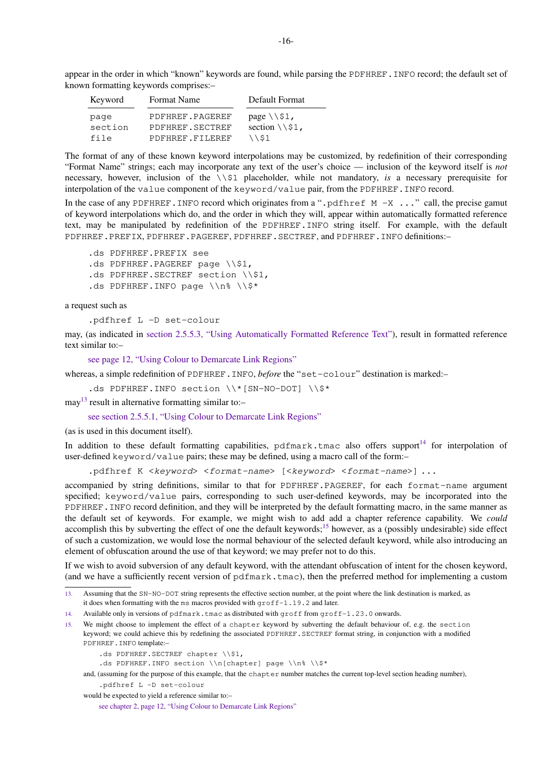appear in the order in which "known" keywords are found, while parsing the PDFHREF. INFO record; the default set of known formatting keywords comprises:–

| Keyword | Format Name     | Default Format           |
|---------|-----------------|--------------------------|
| page    | PDFHREF.PAGEREF | page $\3$ .              |
| section | PDFHREF.SECTREF | section $\setminus$ \$1, |
| file    | PDFHREF.FILEREF | \\$1                     |

The format of any of these known keyword interpolations may be customized, by redefinition of their corresponding "Format Name" strings; each may incorporate any text of the user's choice — inclusion of the keyword itself is *not* necessary, however, inclusion of the \\\$1 placeholder, while not mandatory, *is* a necessary prerequisite for interpolation of the value component of the keyword/value pair, from the PDFHREF.INFO record.

In the case of any PDFHREF. INFO record which originates from a ".pdfhref  $M -X$ ..." call, the precise gamut of keyword interpolations which do, and the order in which they will, appear within automatically formatted reference text, may be manipulated by redefinition of the PDFHREF.INFO string itself. For example, with the default PDFHREF.PREFIX, PDFHREF.PAGEREF, PDFHREF.SECTREF, and PDFHREF. INFO definitions:-

.ds PDFHREF.PREFIX see .ds PDFHREF.PAGEREF page \\\$1, .ds PDFHREF. SECTREF section \\\$1, .ds PDFHREF.INFO page  $\n\alpha \$ 

a request such as

.pdfhref L -D set-colour

may, (as indicated in [section 2.5.5.3, "Using Automatically Formatted Reference Text"](#page-15-0)), result in formatted reference text similar to:–

[see page 12, "Using Colour to Demarcate Link Regions"](#page-13-0)

whereas, a simple redefinition of PDFHREF. INFO, *before* the "set-colour" destination is marked:-

.ds PDFHREF.INFO section \\\*[SN-NO-DOT] \\\$\*

may<sup>13</sup> result in alternative formatting similar to:-

[see section 2.5.5.1, "Using Colour to Demarcate Link Regions"](#page-13-0)

(as is used in this document itself).

In addition to these default formatting capabilities, pdfmark.tmac also offers support<sup>14</sup> for interpolation of user-defined keyword/value pairs; these may be defined, using a macro call of the form:–

.pdfhref K <keyword> <format-name> [<keyword> <format-name>] ...

accompanied by string definitions, similar to that for PDFHREF.PAGEREF, for each format-name argument specified; keyword/value pairs, corresponding to such user-defined keywords, may be incorporated into the PDFHREF.INFO record definition, and they will be interpreted by the default formatting macro, in the same manner as the default set of keywords. For example, we might wish to add add a chapter reference capability. We *could* accomplish this by subverting the effect of one the default keywords;<sup>15</sup> however, as a (possibly undesirable) side effect of such a customization, we would lose the normal behaviour of the selected default keyword, while also introducing an element of obfuscation around the use of that keyword; we may prefer not to do this.

If we wish to avoid subversion of any default keyword, with the attendant obfuscation of intent for the chosen keyword, (and we have a sufficiently recent version of pdfmark.tmac), then the preferred method for implementing a custom

15. We might choose to implement the effect of a chapter keyword by subverting the default behaviour of, e.g. the section keyword; we could achieve this by redefining the associated PDFHREF. SECTREF format string, in conjunction with a modified PDFHREF.INFO template:–

.ds PDFHREF. SECTREF chapter \\\$1,

.ds PDFHREF.INFO section \\n[chapter] page \\n% \\\$\*

and, (assuming for the purpose of this example, that the chapter number matches the current top-level section heading number),

would be expected to yield a reference similar to:–

[see chapter 2, page 12, "Using Colour to Demarcate Link Regions"](#page-13-0)

<sup>13.</sup> Assuming that the SN-NO-DOT string represents the effective section number, at the point where the link destination is marked, as it does when formatting with the ms macros provided with groff-1.19.2 and later.

<sup>14.</sup> Available only in versions of pdfmark.tmac as distributed with groff from groff-1.23.0 onwards.

<sup>.</sup>pdfhref L -D set-colour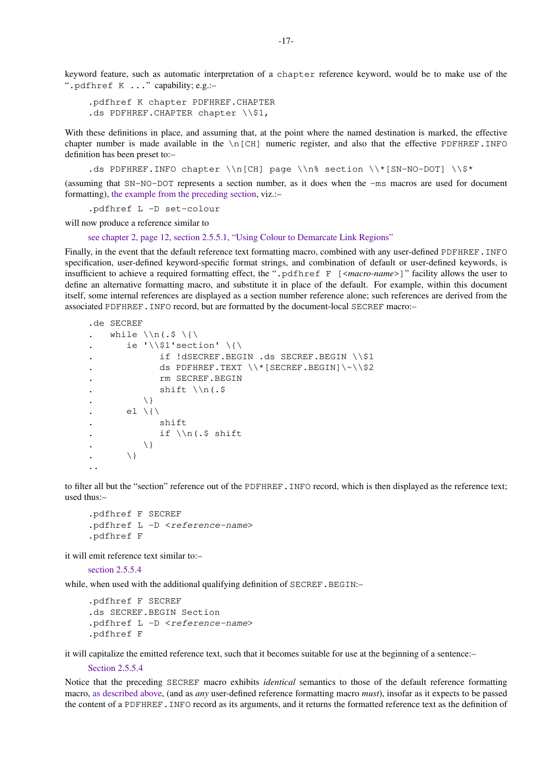keyword feature, such as automatic interpretation of a chapter reference keyword, would be to make use of the ".pdfhref K ..." capability; e.g.:–

.pdfhref K chapter PDFHREF.CHAPTER .ds PDFHREF. CHAPTER chapter \\\$1,

With these definitions in place, and assuming that, at the point where the named destination is marked, the effective chapter number is made available in the  $\n\vert$   $\Box$  numeric register, and also that the effective PDFHREF. INFO definition has been preset to:–

.ds PDFHREF.INFO chapter \\n[CH] page \\n% section \\\*[SN-NO-DOT] \\\$\*

(assuming that SN-NO-DOT represents a section number, as it does when the -ms macros are used for document formatting), [the example from the preceding section](#page-15-0), viz.:–

.pdfhref L -D set-colour

will now produce a reference similar to

[see chapter 2, page 12, section 2.5.5.1, "Using Colour to Demarcate Link Regions"](#page-13-0)

Finally, in the event that the default reference text formatting macro, combined with any user-defined PDFHREF. INFO specification, user-defined keyword-specific format strings, and combination of default or user-defined keywords, is insufficient to achieve a required formatting effect, the ".pdfhref F [<*macro-name*>]" facility allows the user to define an alternative formatting macro, and substitute it in place of the default. For example, within this document itself, some internal references are displayed as a section number reference alone; such references are derived from the associated PDFHREF.INFO record, but are formatted by the document-local SECREF macro:–

```
.de SECREF
. while \ln(.5 \setminus \{\}). ie \{ \} ie \{ \}if !dSECREF.BEGIN .ds SECREF.BEGIN \\$1
                . ds PDFHREF.TEXT \\*[SECREF.BEGIN]\~\\$2
. The SECREF. BEGIN
. \text{shift }\setminus\mathfrak{n} .
            \backslash }
        el \backslash{\backslash. shift
               if \ln(.5 \text{ shift})\setminus. \qquad \qquad \setminus \}..
```
to filter all but the "section" reference out of the PDFHREF.INFO record, which is then displayed as the reference text; used thus:–

```
.pdfhref F SECREF
.pdfhref L -D <reference-name>
.pdfhref F
```
it will emit reference text similar to:–

[section 2.5.5.4](#page-16-0)

while, when used with the additional qualifying definition of SECREF. BEGIN:-

```
.pdfhref F SECREF
.ds SECREF.BEGIN Section
.pdfhref L -D <reference-name>
.pdfhref F
```
it will capitalize the emitted reference text, such that it becomes suitable for use at the beginning of a sentence:–

[Section 2.5.5.4](#page-16-0)

Notice that the preceding SECREF macro exhibits *identical* semantics to those of the default reference formatting macro, [as described above](#page-16-0), (and as *any* user-defined reference formatting macro *must*), insofar as it expects to be passed the content of a PDFHREF.INFO record as its arguments, and it returns the formatted reference text as the definition of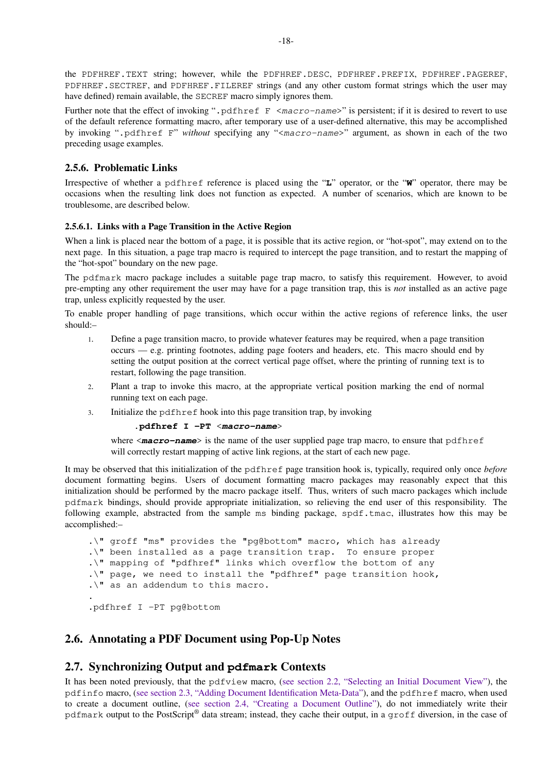<span id="page-19-0"></span>the PDFHREF.TEXT string; however, while the PDFHREF.DESC, PDFHREF.PREFIX, PDFHREF.PAGEREF, PDFHREF.SECTREF, and PDFHREF.FILEREF strings (and any other custom format strings which the user may have defined) remain available, the SECREF macro simply ignores them.

Further note that the effect of invoking ". pdf h ref  $F < ma < ro$ -name>" is persistent; if it is desired to revert to use of the default reference formatting macro, after temporary use of a user-defined alternative, this may be accomplished by invoking ".pdfhref F" *without* specifying any "<macro-name>" argument, as shown in each of the two preceding usage examples.

### **2.5.6. Problematic Links**

Irrespective of whether a pdfhref reference is placed using the "**L**" operator, or the "**W**" operator, there may be occasions when the resulting link does not function as expected. A number of scenarios, which are known to be troublesome, are described below.

#### **2.5.6.1. Links with a Page Transition in the Active Region**

When a link is placed near the bottom of a page, it is possible that its active region, or "hot-spot", may extend on to the next page. In this situation, a page trap macro is required to intercept the page transition, and to restart the mapping of the "hot-spot" boundary on the new page.

The pdfmark macro package includes a suitable page trap macro, to satisfy this requirement. However, to avoid pre-empting any other requirement the user may have for a page transition trap, this is *not* installed as an active page trap, unless explicitly requested by the user.

To enable proper handling of page transitions, which occur within the active regions of reference links, the user should:–

- 1. Define a page transition macro, to provide whatever features may be required, when a page transition occurs — e.g. printing footnotes, adding page footers and headers, etc. This macro should end by setting the output position at the correct vertical page offset, where the printing of running text is to restart, following the page transition.
- 2. Plant a trap to invoke this macro, at the appropriate vertical position marking the end of normal running text on each page.
- 3. Initialize the pdfhref hook into this page transition trap, by invoking

#### **.pdfhref I -PT** <**macro-name**>

where  $\leq$ **macro-name**> is the name of the user supplied page trap macro, to ensure that pdf h ref will correctly restart mapping of active link regions, at the start of each new page.

It may be observed that this initialization of the pdfhref page transition hook is, typically, required only once *before* document formatting begins. Users of document formatting macro packages may reasonably expect that this initialization should be performed by the macro package itself. Thus, writers of such macro packages which include pdfmark bindings, should provide appropriate initialization, so relieving the end user of this responsibility. The following example, abstracted from the sample ms binding package, spdf.tmac, illustrates how this may be accomplished:–

.\" groff "ms" provides the "pg@bottom" macro, which has already .\" been installed as a page transition trap. To ensure proper .\" mapping of "pdfhref" links which overflow the bottom of any .\" page, we need to install the "pdfhref" page transition hook, .\" as an addendum to this macro. .

.pdfhref I -PT pg@bottom

## **2.6. Annotating a PDF Document using Pop-Up Notes**

## **2.7. Synchronizing Output and pdfmark Contexts**

It has been noted previously, that the pdfview macro, ([see section 2.2, "Selecting an Initial Document View"](#page-3-0)), the pdfinfo macro, ([see section 2.3, "Adding Document Identification Meta-Data"\)](#page-4-0), and the pdfhref macro, when used to create a document outline, ([see section 2.4, "Creating a Document Outline"](#page-4-0)), do not immediately write their pdfmark output to the PostScript® data stream; instead, they cache their output, in a groff diversion, in the case of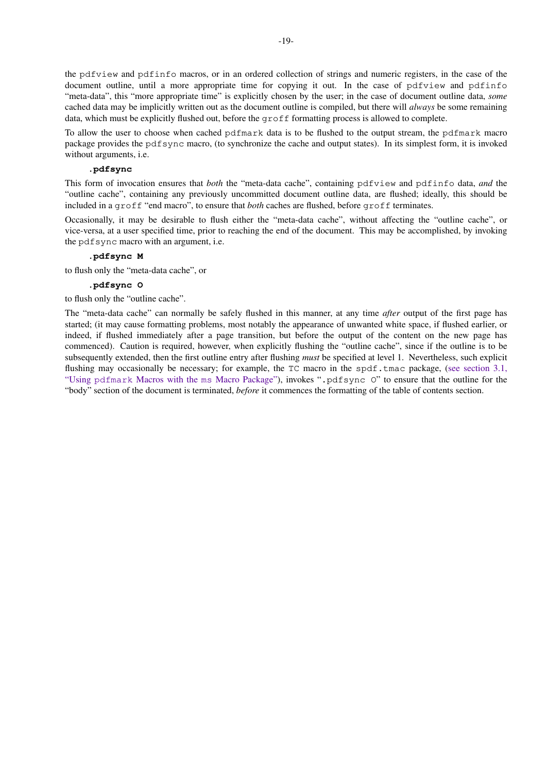the pdfview and pdfinfo macros, or in an ordered collection of strings and numeric registers, in the case of the document outline, until a more appropriate time for copying it out. In the case of pdfview and pdfinfo "meta-data", this "more appropriate time" is explicitly chosen by the user; in the case of document outline data, *some* cached data may be implicitly written out as the document outline is compiled, but there will *always* be some remaining data, which must be explicitly flushed out, before the groff formatting process is allowed to complete.

To allow the user to choose when cached pdfmark data is to be flushed to the output stream, the pdfmark macro package provides the pdfsync macro, (to synchronize the cache and output states). In its simplest form, it is invoked without arguments, i.e.

#### **.pdfsync**

This form of invocation ensures that *both* the "meta-data cache", containing pdfview and pdfinfo data, *and* the "outline cache", containing any previously uncommitted document outline data, are flushed; ideally, this should be included in a groff "end macro", to ensure that *both* caches are flushed, before groff terminates.

Occasionally, it may be desirable to flush either the "meta-data cache", without affecting the "outline cache", or vice-versa, at a user specified time, prior to reaching the end of the document. This may be accomplished, by invoking the pdfsync macro with an argument, i.e.

#### **.pdfsync M**

to flush only the "meta-data cache", or

## **.pdfsync O**

to flush only the "outline cache".

The "meta-data cache" can normally be safely flushed in this manner, at any time *after* output of the first page has started; (it may cause formatting problems, most notably the appearance of unwanted white space, if flushed earlier, or indeed, if flushed immediately after a page transition, but before the output of the content on the new page has commenced). Caution is required, however, when explicitly flushing the "outline cache", since if the outline is to be subsequently extended, then the first outline entry after flushing *must* be specified at level 1. Nevertheless, such explicit flushing may occasionally be necessary; for example, the TC macro in the spdf.tmac package, [\(see section 3.1,](#page-21-0) "Using pdfmark [Macros with the](#page-21-0) ms Macro Package"), invokes ".pdfsync O" to ensure that the outline for the "body" section of the document is terminated, *before* it commences the formatting of the table of contents section.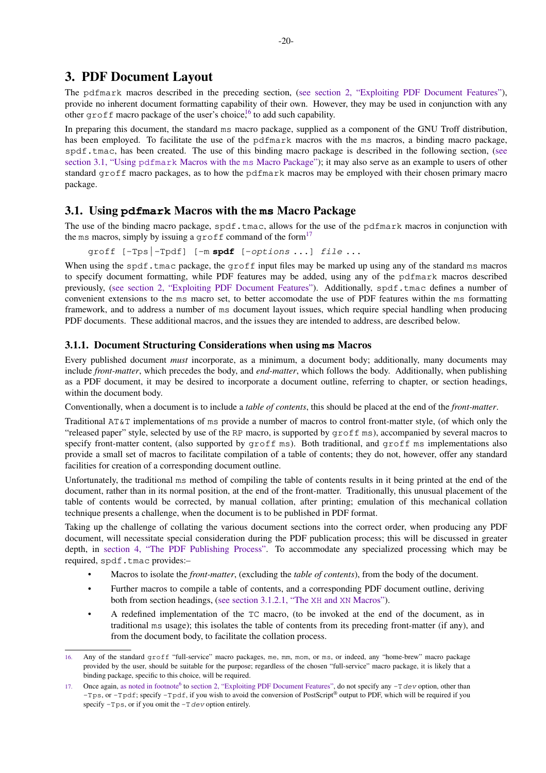## <span id="page-21-0"></span>**3. PDF Document Layout**

The pdfmark macros described in the preceding section, ([see section 2, "Exploiting PDF Document Features"\)](#page-3-0), provide no inherent document formatting capability of their own. However, they may be used in conjunction with any other  $\text{groff}$  macro package of the user's choice,<sup>16</sup> to add such capability.

In preparing this document, the standard ms macro package, supplied as a component of the GNU Troff distribution, has been employed. To facilitate the use of the pdfmark macros with the ms macros, a binding macro package, spdf.tmac, has been created. The use of this binding macro package is described in the following section, (see section 3.1, "Using pdfmark Macros with the ms Macro Package"); it may also serve as an example to users of other standard groff macro packages, as to how the pdfmark macros may be employed with their chosen primary macro package.

## **3.1. Using pdfmark Macros with the ms Macro Package**

The use of the binding macro package, spdf.tmac, allows for the use of the pdfmark macros in conjunction with the ms macros, simply by issuing a groff command of the form<sup>17</sup>

groff [-Tps|-Tpdf] [-m **spdf** [-options ...] file ...

When using the spdf.tmac package, the groff input files may be marked up using any of the standard ms macros to specify document formatting, while PDF features may be added, using any of the pdfmark macros described previously, [\(see section 2, "Exploiting PDF Document Features"](#page-3-0)). Additionally, spdf.tmac defines a number of convenient extensions to the ms macro set, to better accomodate the use of PDF features within the ms formatting framework, and to address a number of ms document layout issues, which require special handling when producing PDF documents. These additional macros, and the issues they are intended to address, are described below.

#### **3.1.1. Document Structuring Considerations when using ms Macros**

Every published document *must* incorporate, as a minimum, a document body; additionally, many documents may include *front-matter*, which precedes the body, and *end-matter*, which follows the body. Additionally, when publishing as a PDF document, it may be desired to incorporate a document outline, referring to chapter, or section headings, within the document body.

Conventionally, when a document is to include a *table of contents*, this should be placed at the end of the *front-matter*.

Traditional AT&T implementations of ms provide a number of macros to control front-matter style, (of which only the "released paper" style, selected by use of the RP macro, is supported by groff ms), accompanied by several macros to specify front-matter content, (also supported by  $\text{groff ms}$ ). Both traditional, and  $\text{groff ms}$  implementations also provide a small set of macros to facilitate compilation of a table of contents; they do not, however, offer any standard facilities for creation of a corresponding document outline.

Unfortunately, the traditional ms method of compiling the table of contents results in it being printed at the end of the document, rather than in its normal position, at the end of the front-matter. Traditionally, this unusual placement of the table of contents would be corrected, by manual collation, after printing; emulation of this mechanical collation technique presents a challenge, when the document is to be published in PDF format.

Taking up the challenge of collating the various document sections into the correct order, when producing any PDF document, will necessitate special consideration during the PDF publication process; this will be discussed in greater depth, in [section 4, "The PDF Publishing Process".](#page-25-0) To accommodate any specialized processing which may be required, spdf.tmac provides:-

- Macros to isolate the *front-matter*, (excluding the *table of contents*), from the body of the document.
- Further macros to compile a table of contents, and a corresponding PDF document outline, deriving both from section headings, ([see section 3.1.2.1, "The](#page-22-0) XH and XN Macros").
- A redefined implementation of the TC macro, (to be invoked at the end of the document, as in traditional ms usage); this isolates the table of contents from its preceding front-matter (if any), and from the document body, to facilitate the collation process.

<sup>16.</sup> Any of the standard groff "full-service" macro packages, me, mm, mom, or ms, or indeed, any "home-brew" macro package provided by the user, should be suitable for the purpose; regardless of the chosen "full-service" macro package, it is likely that a binding package, specific to this choice, will be required.

<sup>17.</sup> Once again, [as noted in footnote](#page-3-0)<sup>6</sup> to [section 2, "Exploiting PDF Document Features",](#page-3-0) do not specify any  $-\tau$  dev option, other than  $-\text{Tr}\rho\sigma$ , or  $-\text{Tr}\rho\sigma f$ ; specify  $-\text{Tr}\rho\sigma f$ , if you wish to avoid the conversion of PostScript® output to PDF, which will be required if you specify  $-T \, \text{ps}$ , or if you omit the  $-T \, \text{dev}$  option entirely.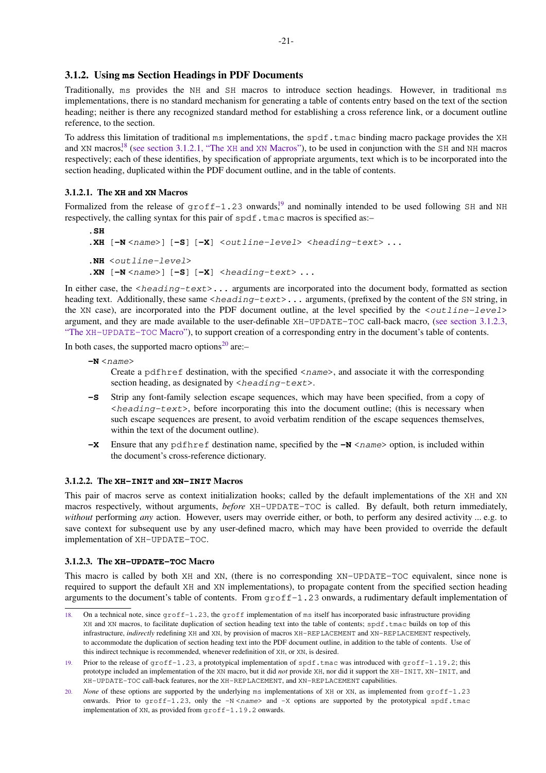#### <span id="page-22-0"></span>**3.1.2. Using ms Section Headings in PDF Documents**

Traditionally, ms provides the NH and SH macros to introduce section headings. However, in traditional ms implementations, there is no standard mechanism for generating a table of contents entry based on the text of the section heading; neither is there any recognized standard method for establishing a cross reference link, or a document outline reference, to the section.

To address this limitation of traditional ms implementations, the  $\text{spdf}.$  tmac binding macro package provides the XH and XN macros,<sup>18</sup> (see section 3.1.2.1, "The XH and XN Macros"), to be used in conjunction with the SH and NH macros respectively; each of these identifies, by specification of appropriate arguments, text which is to be incorporated into the section heading, duplicated within the PDF document outline, and in the table of contents.

#### **3.1.2.1. The XH and XN Macros**

Formalized from the release of  $qref-1.23$  onwards,<sup>19</sup> and nominally intended to be used following SH and NH respectively, the calling syntax for this pair of  $\text{spdf}.$  tmac macros is specified as:–

```
.SH
.XH [-N < name>] [-S] [-X] < \text{outline-level} > \text{theading-text} > ....NH <outline-level>
\mathbf{X} \mathbf{N} [\mathbf{-N} \leq \mathbf{n}ame>] [\mathbf{-S}] [\mathbf{-X}] <heading-text> ...
```
In either case, the  $\langle heading-text\rangle \dots$  arguments are incorporated into the document body, formatted as section heading text. Additionally, these same <heading-text>... arguments, (prefixed by the content of the SN string, in the XN case), are incorporated into the PDF document outline, at the level specified by the  $\langle$ outline-level> argument, and they are made available to the user-definable XH-UPDATE-TOC call-back macro, (see section 3.1.2.3, "The XH−UPDATE−TOC Macro"), to support creation of a corresponding entry in the document's table of contents.

In both cases, the supported macro options $^{20}$  are:-

 $-N$   $<$ *name* $>$ 

Create a pdfhref destination, with the specified <name>, and associate it with the corresponding section heading, as designated by  $\langle$ heading-text>.

- **-S** Strip any font-family selection escape sequences, which may have been specified, from a copy of  $\epsilon$ heading-text>, before incorporating this into the document outline; (this is necessary when such escape sequences are present, to avoid verbatim rendition of the escape sequences themselves, within the text of the document outline).
- **-X** Ensure that any pdf h ref destination name, specified by the  $-N \leq$   $\theta$   $\theta$  and  $\theta$  included within the document's cross-reference dictionary.

#### **3.1.2.2. The XH−INIT and XN−INIT Macros**

This pair of macros serve as context initialization hooks; called by the default implementations of the XH and XN macros respectively, without arguments, *before* XH−UPDATE−TOC is called. By default, both return immediately, *without* performing *any* action. However, users may override either, or both, to perform any desired activity ... e.g. to save context for subsequent use by any user-defined macro, which may have been provided to override the default implementation of XH−UPDATE−TOC.

#### **3.1.2.3. The XH−UPDATE−TOC Macro**

This macro is called by both XH and XN, (there is no corresponding XN−UPDATE−TOC equivalent, since none is required to support the default XH and XN implementations), to propagate content from the specified section heading arguments to the document's table of contents. From groff−1.23 onwards, a rudimentary default implementation of

<sup>18.</sup> On a technical note, since groff-1.23, the groff implementation of ms itself has incorporated basic infrastructure providing XH and XN macros, to facilitate duplication of section heading text into the table of contents; spdf.tmac builds on top of this infrastructure, *indirectly* redefining XH and XN, by provision of macros XH-REPLACEMENT and XN-REPLACEMENT respectively, to accommodate the duplication of section heading text into the PDF document outline, in addition to the table of contents. Use of this indirect technique is recommended, whenever redefinition of XH, or XN, is desired.

<sup>19.</sup> Prior to the release of  $qref-1.23$ , a prototypical implementation of spdf.tmac was introduced with  $qref-1.19.2$ ; this prototype included an implementation of the XN macro, but it did *not* provide XH, nor did it support the XH-INIT, XN-INIT, and XH-UPDATE-TOC call-back features, nor the XH-REPLACEMENT, and XN-REPLACEMENT capabilities.

<sup>20.</sup> *None* of these options are supported by the underlying ms implementations of XH or XN, as implemented from  $\text{qrof}\, \text{f}-1.23$ onwards. Prior to  $q$ roff-1.23, only the  $-N$  <name> and  $-X$  options are supported by the prototypical spdf.tmac implementation of XN, as provided from groff-1.19.2 onwards.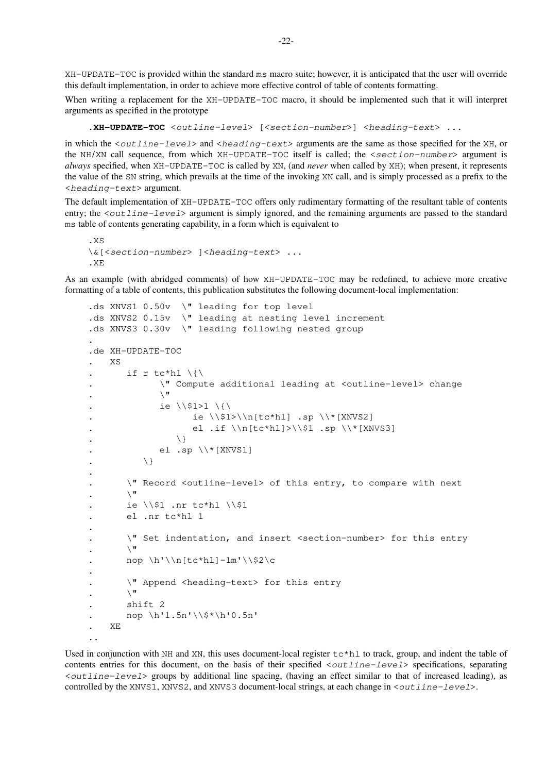XH−UPDATE−TOC is provided within the standard ms macro suite; however, it is anticipated that the user will override this default implementation, in order to achieve more effective control of table of contents formatting.

When writing a replacement for the XH−UPDATE−TOC macro, it should be implemented such that it will interpret arguments as specified in the prototype

**.XH−UPDATE−TOC** <outline−level> [<section−number>] <heading−text> ...

in which the <outline−level> and <heading−text> arguments are the same as those specified for the XH, or the NH/XN call sequence, from which XH−UPDATE−TOC itself is called; the <section−number> argument is *always* specified, when XH−UPDATE−TOC is called by XN, (and *never* when called by XH); when present, it represents the value of the SN string, which prevails at the time of the invoking XN call, and is simply processed as a prefix to the <heading−text> argument.

The default implementation of XH−UPDATE−TOC offers only rudimentary formatting of the resultant table of contents entry; the <*outline*−level> argument is simply ignored, and the remaining arguments are passed to the standard ms table of contents generating capability, in a form which is equivalent to

```
.XS
\&[<section−number> ]<heading−text> ...
.XE
```
As an example (with abridged comments) of how XH−UPDATE−TOC may be redefined, to achieve more creative formatting of a table of contents, this publication substitutes the following document-local implementation:

```
.ds XNVS1 0.50v \" leading for top level
.ds XNVS2 0.15v \" leading at nesting level increment
.ds XNVS3 0.30v \" leading following nested group
.
.de XH-UPDATE-TOC
    . XS
        if r tc*hl \langle \{\rangle. \" Compute additional leading at <outline-level> change
               \setminus "
               ie \iota \\$1>1 \{\
                      ie \iota \\$1>\\n[tc*hl] .sp \\*[XNVS2]
                      el .if \\n[tc*hl]>\\$1 .sp \\*[XNVS3]
. <br> \qquad \qquad \backslash \}el .sp \setminus\setminus\setminus\{XNVS1\}\setminus }
.
        . \" Record <outline-level> of this entry, to compare with next
\mathbf{r}. ie \iota .nr tc*hl \iota$1
       . el .nr tc*hl 1
.
. \" Set indentation, and insert <section-number> for this entry
        \sqrt{ }nop \h'\\n[tc*hl]-1m'\\$2\c
.
. \vee Append <heading-text> for this entry
        \sqrt{ } \sqrt{ }. shift 2
. nop \h'1.5n'\\$*\h'0.5n'
. XE
..
```
Used in conjunction with NH and XN, this uses document-local register  $\tau c \star h1$  to track, group, and indent the table of contents entries for this document, on the basis of their specified <outline−level> specifications, separating <outline−level> groups by additional line spacing, (having an effect similar to that of increased leading), as controlled by the XNVS1, XNVS2, and XNVS3 document-local strings, at each change in <outline−level>.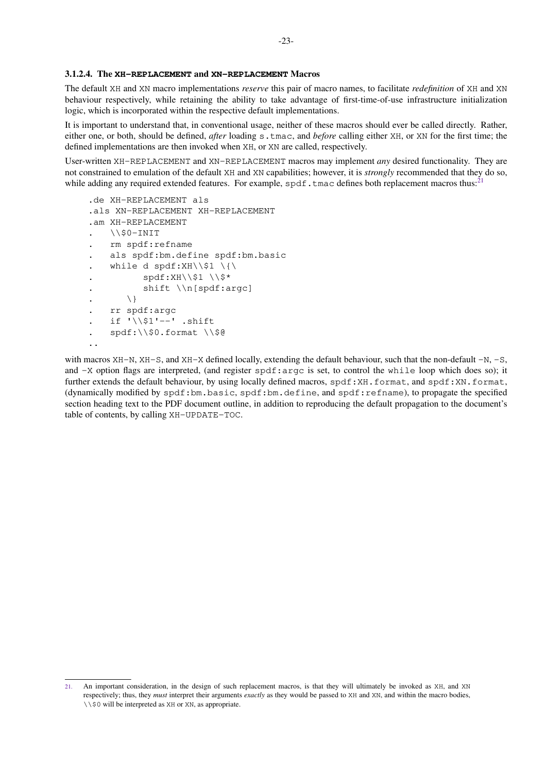#### <span id="page-24-0"></span>**3.1.2.4. The XH−REPLACEMENT and XN−REPLACEMENT Macros**

The default XH and XN macro implementations *reserve* this pair of macro names, to facilitate *redefinition* of XH and XN behaviour respectively, while retaining the ability to take advantage of first-time-of-use infrastructure initialization logic, which is incorporated within the respective default implementations.

It is important to understand that, in conventional usage, neither of these macros should ever be called directly. Rather, either one, or both, should be defined, *after* loading s.tmac, and *before* calling either XH, or XN for the first time; the defined implementations are then invoked when XH, or XN are called, respectively.

User-written XH−REPLACEMENT and XN−REPLACEMENT macros may implement *any* desired functionality. They are not constrained to emulation of the default XH and XN capabilities; however, it is *strongly* recommended that they do so, while adding any required extended features. For example,  $\text{spdf.tmac}$  defines both replacement macros thus:<sup>21</sup>

```
.de XH−REPLACEMENT als
.als XN−REPLACEMENT XH-REPLACEMENT
.am XH-REPLACEMENT
. \\$0−INIT
    . rm spdf:refname
. als spdf:bm.define spdf:bm.basic
   while d spdf:XH\\$1 \{\
          \text{spdf}:XH\setminus\1 \\$*
. shift \\n[spdf:argc]
. \setminus. rr spdf:argc
    . if '\\$1'−−' .shift
. spdf:\\$0.format \\$@
..
```
with macros XH−N, XH−S, and XH−X defined locally, extending the default behaviour, such that the non-default −N, −S, and −X option flags are interpreted, (and register spdf:argc is set, to control the while loop which does so); it further extends the default behaviour, by using locally defined macros, spdf:XH.format, and spdf:XN.format, (dynamically modified by spdf:bm.basic, spdf:bm.define, and spdf:refname), to propagate the specified section heading text to the PDF document outline, in addition to reproducing the default propagation to the document's table of contents, by calling XH−UPDATE−TOC.

<sup>21.</sup> An important consideration, in the design of such replacement macros, is that they will ultimately be invoked as XH, and XN respectively; thus, they *must* interpret their arguments *exactly* as they would be passed to XH and XN, and within the macro bodies, \\\$0 will be interpreted as XH or XN, as appropriate.